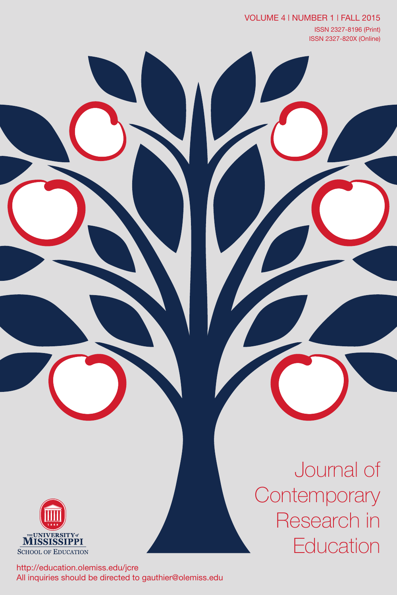VOLUME 4 | NUMBER 1 | FALL 2015 ISSN 2327-8196 (Print) ISSN 2327-820X (Online)



http://education.olemiss.edu/jcre All inquiries should be directed to gauthier@olemiss.edu

Journal of **Contemporary** Research in **Education**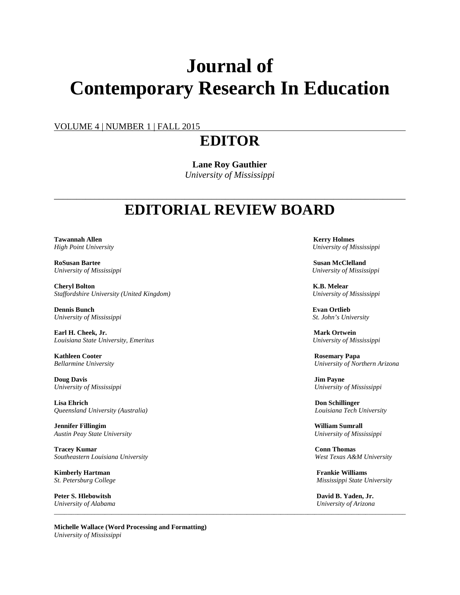# **Journal of Contemporary Research In Education**

VOLUME 4 | NUMBER 1 | FALL 2015

## **EDITOR**

**Lane Roy Gauthier** *University of Mississippi*

## \_\_\_\_\_\_\_\_\_\_\_\_\_\_\_\_\_\_\_\_\_\_\_\_\_\_\_\_\_\_\_\_\_\_\_\_\_\_\_\_\_\_\_\_\_\_\_\_\_\_\_\_\_\_\_\_\_\_\_\_\_\_\_\_\_\_\_\_\_\_\_\_\_\_\_\_\_\_ **EDITORIAL REVIEW BOARD**

*\_\_\_\_\_\_\_\_\_\_\_\_\_\_\_\_\_\_\_\_\_\_\_\_\_\_\_\_\_\_\_\_\_\_\_\_\_\_\_\_\_\_\_\_\_\_\_\_\_\_\_\_\_\_\_\_\_\_\_\_\_\_\_\_\_\_\_\_\_\_\_\_\_\_\_\_\_\_\_\_\_\_\_\_\_\_\_\_\_\_\_\_\_\_\_\_\_\_\_\_\_\_\_\_*

**Tawannah Allen** Kerry Holmes **Kerry Holmes** 

**RoSusan Bartee Susan McClelland** *University of Mississippi University of Mississippi*

**Cheryl Bolton K.B. Melear K.B. Melear K.B. Melear K.B. Melear K.B. Melear K.B. Melear Channel Staffordshire University (United Kingdom)** *Staffordshire University (United Kingdom) University of Mississippi*

**Dennis Bunch Evan Ortlieb**<br> *Evan Ortlieb*<br> *Chiversity of Mississippi* **Evan Ortlieb**<br> *St. John's University*  $University of Mississippi$ 

**Earl H. Cheek, Jr. Mark Ortwein** *Louisiana State University, Emeritus University of Mississippi*

**Kathleen** Cooter **Rosemary Papa** 

**Doug Davis Jim Payne** *University of Mississippi University of Mississippi*

**Lisa Ehrich Don Schillinger** *Queensland University (Australia) Louisiana Tech University*

**Jennifer Fillingim William Sumrall** *Austin Peay State University University of Mississippi*

**Tracey Kumar Conn Thomas** *Southeastern Louisiana University West Texas A&M University*

**Kimberly Hartman Frankie Williams**

**Peter S. Hlebowitsh David B. Yaden, Jr.**<br> *David B. Yaden, Jr.*<br> *University of Alabama* University of Arizona *University of Alabama University of Arizona*

**Michelle Wallace (Word Processing and Formatting)** *University of Mississippi*

*High Point University University of Mississippi*

*Bellarmine University University of Northern Arizona*

*St. Petersburg College Mississippi State University*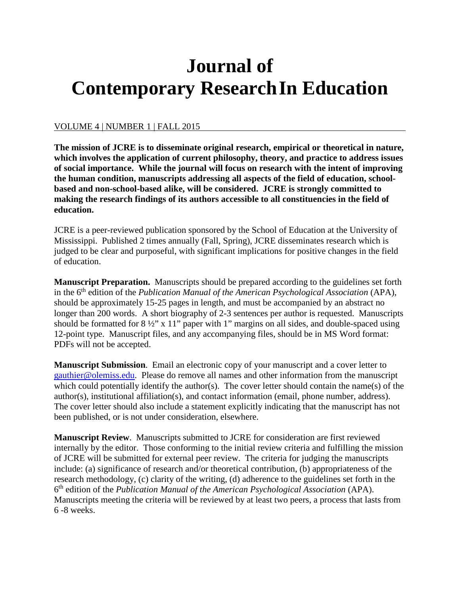# **Journal of Contemporary ResearchIn Education**

## VOLUME 4 | NUMBER 1 | FALL 2015

**The mission of JCRE is to disseminate original research, empirical or theoretical in nature, which involves the application of current philosophy, theory, and practice to address issues of social importance. While the journal will focus on research with the intent of improving the human condition, manuscripts addressing all aspects of the field of education, schoolbased and non-school-based alike, will be considered. JCRE is strongly committed to making the research findings of its authors accessible to all constituencies in the field of education.**

JCRE is a peer-reviewed publication sponsored by the School of Education at the University of Mississippi. Published 2 times annually (Fall, Spring), JCRE disseminates research which is judged to be clear and purposeful, with significant implications for positive changes in the field of education.

**Manuscript Preparation.** Manuscripts should be prepared according to the guidelines set forth in the 6th edition of the *Publication Manual of the American Psychological Association* (APA), should be approximately 15-25 pages in length, and must be accompanied by an abstract no longer than 200 words. A short biography of 2-3 sentences per author is requested. Manuscripts should be formatted for  $8\frac{1}{2}$ " x 11" paper with 1" margins on all sides, and double-spaced using 12-point type. Manuscript files, and any accompanying files, should be in MS Word format: PDFs will not be accepted.

**Manuscript Submission**. Email an electronic copy of your manuscript and a cover letter to [gauthier@olemiss.edu.](mailto:gauthier@olemiss.edu) Please do remove all names and other information from the manuscript which could potentially identify the author(s). The cover letter should contain the name(s) of the author(s), institutional affiliation(s), and contact information (email, phone number, address). The cover letter should also include a statement explicitly indicating that the manuscript has not been published, or is not under consideration, elsewhere.

**Manuscript Review**. Manuscripts submitted to JCRE for consideration are first reviewed internally by the editor. Those conforming to the initial review criteria and fulfilling the mission of JCRE will be submitted for external peer review. The criteria for judging the manuscripts include: (a) significance of research and/or theoretical contribution, (b) appropriateness of the research methodology, (c) clarity of the writing, (d) adherence to the guidelines set forth in the 6th edition of the *Publication Manual of the American Psychological Association* (APA). Manuscripts meeting the criteria will be reviewed by at least two peers, a process that lasts from 6 -8 weeks.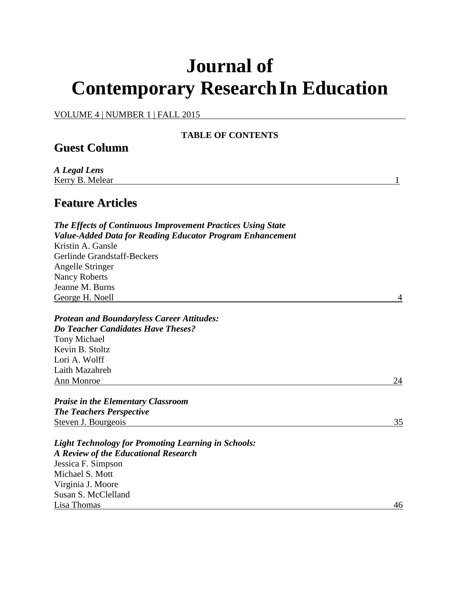# **Journal of Contemporary ResearchIn Education**

VOLUME 4 | NUMBER 1 | FALL 2015

| <b>TABLE OF CONTENTS</b>                                                                                                                                    |    |
|-------------------------------------------------------------------------------------------------------------------------------------------------------------|----|
| <b>Guest Column</b>                                                                                                                                         |    |
| A Legal Lens<br>Kerry B. Melear                                                                                                                             | 1  |
| <b>Feature Articles</b>                                                                                                                                     |    |
| <b>The Effects of Continuous Improvement Practices Using State</b><br><b>Value-Added Data for Reading Educator Program Enhancement</b><br>Kristin A. Gansle |    |
| Gerlinde Grandstaff-Beckers                                                                                                                                 |    |
| Angelle Stringer<br><b>Nancy Roberts</b>                                                                                                                    |    |
| Jeanne M. Burns                                                                                                                                             |    |
| George H. Noell                                                                                                                                             | 4  |
| <b>Protean and Boundaryless Career Attitudes:</b>                                                                                                           |    |
| <b>Do Teacher Candidates Have Theses?</b>                                                                                                                   |    |
| <b>Tony Michael</b>                                                                                                                                         |    |
| Kevin B. Stoltz                                                                                                                                             |    |
| Lori A. Wolff                                                                                                                                               |    |
| Laith Mazahreh                                                                                                                                              |    |
| Ann Monroe                                                                                                                                                  | 24 |
| <b>Praise in the Elementary Classroom</b>                                                                                                                   |    |
| <b>The Teachers Perspective</b>                                                                                                                             |    |
| Steven J. Bourgeois                                                                                                                                         | 35 |
| <b>Light Technology for Promoting Learning in Schools:</b><br><b>A Review of the Educational Research</b>                                                   |    |
| Jessica F. Simpson                                                                                                                                          |    |
| Michael S. Mott                                                                                                                                             |    |
| Virginia J. Moore                                                                                                                                           |    |
| Susan S. McClelland                                                                                                                                         |    |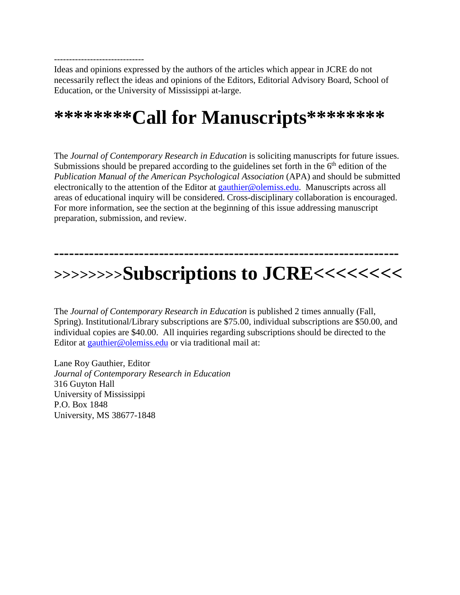------------------------------ Ideas and opinions expressed by the authors of the articles which appear in JCRE do not necessarily reflect the ideas and opinions of the Editors, Editorial Advisory Board, School of Education, or the University of Mississippi at-large.

## **\*\*\*\*\*\*\*\*Call for Manuscripts\*\*\*\*\*\*\*\***

The *Journal of Contemporary Research in Education* is soliciting manuscripts for future issues. Submissions should be prepared according to the guidelines set forth in the  $6<sup>th</sup>$  edition of the *Publication Manual of the American Psychological Association* (APA) and should be submitted electronically to the attention of the Editor at [gauthier@olemiss.edu.](mailto:gauthier@olemiss.edu) Manuscripts across all areas of educational inquiry will be considered. Cross-disciplinary collaboration is encouraged. For more information, see the section at the beginning of this issue addressing manuscript preparation, submission, and review.

## **--------------------------------------------------------------------- >>>>>>>>Subscriptions to JCRE<<<<<<<<**

The *Journal of Contemporary Research in Education* is published 2 times annually (Fall, Spring). Institutional/Library subscriptions are \$75.00, individual subscriptions are \$50.00, and individual copies are \$40.00. All inquiries regarding subscriptions should be directed to the Editor at [gauthier@olemiss.edu](mailto:gauthier@olemiss.edu) or via traditional mail at:

Lane Roy Gauthier, Editor *Journal of Contemporary Research in Education* 316 Guyton Hall University of Mississippi P.O. Box 1848 University, MS 38677-1848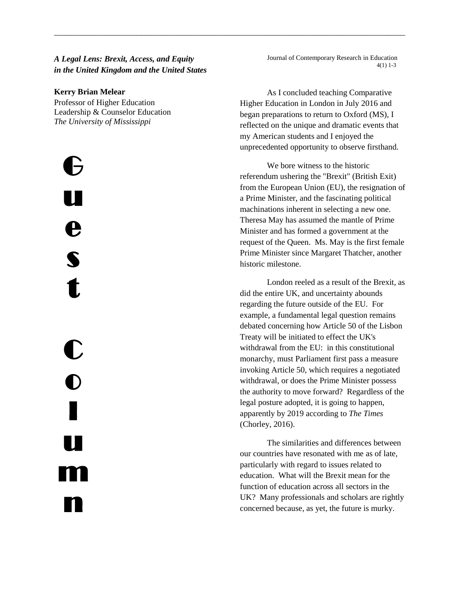## *A Legal Lens: Brexit, Access, and Equity in the United Kingdom and the United States*

\_\_\_\_\_\_\_\_\_\_\_\_\_\_\_\_\_\_\_\_\_\_\_\_\_\_\_\_\_\_\_\_\_\_\_\_\_\_\_\_\_\_\_\_\_\_\_\_\_\_\_\_\_\_\_\_\_\_\_\_\_\_\_\_\_\_\_\_\_\_\_\_\_\_\_\_\_\_\_\_\_\_\_\_\_

#### **Kerry Brian Melear**

Professor of Higher Education Leadership & Counselor Education *The University of Mississippi*

l -<br>17 u e s t C  $\overline{\mathbf{O}}$ l u m n

Journal of Contemporary Research in Education 4(1) 1-3

As I concluded teaching Comparative Higher Education in London in July 2016 and began preparations to return to Oxford (MS), I reflected on the unique and dramatic events that my American students and I enjoyed the unprecedented opportunity to observe firsthand.

We bore witness to the historic referendum ushering the "Brexit" (British Exit) from the European Union (EU), the resignation of a Prime Minister, and the fascinating political machinations inherent in selecting a new one. Theresa May has assumed the mantle of Prime Minister and has formed a government at the request of the Queen. Ms. May is the first female Prime Minister since Margaret Thatcher, another historic milestone.

London reeled as a result of the Brexit, as did the entire UK, and uncertainty abounds regarding the future outside of the EU. For example, a fundamental legal question remains debated concerning how Article 50 of the Lisbon Treaty will be initiated to effect the UK's withdrawal from the EU: in this constitutional monarchy, must Parliament first pass a measure invoking Article 50, which requires a negotiated withdrawal, or does the Prime Minister possess the authority to move forward? Regardless of the legal posture adopted, it is going to happen, apparently by 2019 according to *The Times* (Chorley, 2016).

The similarities and differences between our countries have resonated with me as of late, particularly with regard to issues related to education. What will the Brexit mean for the function of education across all sectors in the UK? Many professionals and scholars are rightly concerned because, as yet, the future is murky.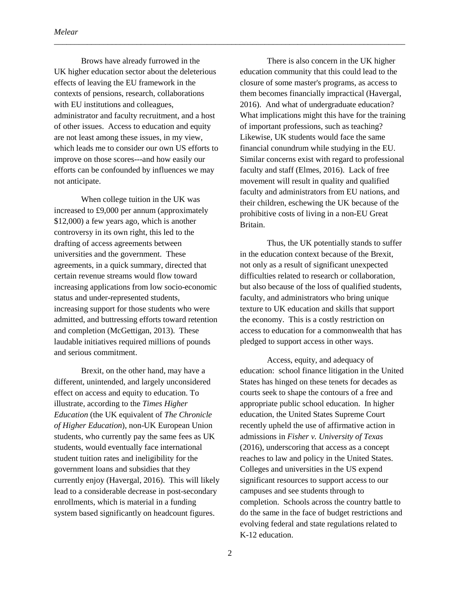Brows have already furrowed in the UK higher education sector about the deleterious effects of leaving the EU framework in the contexts of pensions, research, collaborations with EU institutions and colleagues, administrator and faculty recruitment, and a host of other issues. Access to education and equity are not least among these issues, in my view, which leads me to consider our own US efforts to improve on those scores---and how easily our efforts can be confounded by influences we may not anticipate.

When college tuition in the UK was increased to £9,000 per annum (approximately \$12,000) a few years ago, which is another controversy in its own right, this led to the drafting of access agreements between universities and the government. These agreements, in a quick summary, directed that certain revenue streams would flow toward increasing applications from low socio-economic status and under-represented students, increasing support for those students who were admitted, and buttressing efforts toward retention and completion (McGettigan, 2013). These laudable initiatives required millions of pounds and serious commitment.

Brexit, on the other hand, may have a different, unintended, and largely unconsidered effect on access and equity to education. To illustrate, according to the *Times Higher Education* (the UK equivalent of *The Chronicle of Higher Education*), non-UK European Union students, who currently pay the same fees as UK students, would eventually face international student tuition rates and ineligibility for the government loans and subsidies that they currently enjoy (Havergal, 2016). This will likely lead to a considerable decrease in post-secondary enrollments, which is material in a funding system based significantly on headcount figures.

There is also concern in the UK higher education community that this could lead to the closure of some master's programs, as access to them becomes financially impractical (Havergal, 2016). And what of undergraduate education? What implications might this have for the training of important professions, such as teaching? Likewise, UK students would face the same financial conundrum while studying in the EU. Similar concerns exist with regard to professional faculty and staff (Elmes, 2016). Lack of free movement will result in quality and qualified faculty and administrators from EU nations, and their children, eschewing the UK because of the prohibitive costs of living in a non-EU Great Britain.

Thus, the UK potentially stands to suffer in the education context because of the Brexit, not only as a result of significant unexpected difficulties related to research or collaboration, but also because of the loss of qualified students, faculty, and administrators who bring unique texture to UK education and skills that support the economy. This is a costly restriction on access to education for a commonwealth that has pledged to support access in other ways.

Access, equity, and adequacy of education: school finance litigation in the United States has hinged on these tenets for decades as courts seek to shape the contours of a free and appropriate public school education. In higher education, the United States Supreme Court recently upheld the use of affirmative action in admissions in *Fisher v. University of Texas*  (2016), underscoring that access as a concept reaches to law and policy in the United States. Colleges and universities in the US expend significant resources to support access to our campuses and see students through to completion. Schools across the country battle to do the same in the face of budget restrictions and evolving federal and state regulations related to K-12 education.

\_\_\_\_\_\_\_\_\_\_\_\_\_\_\_\_\_\_\_\_\_\_\_\_\_\_\_\_\_\_\_\_\_\_\_\_\_\_\_\_\_\_\_\_\_\_\_\_\_\_\_\_\_\_\_\_\_\_\_\_\_\_\_\_\_\_\_\_\_\_\_\_\_\_\_\_\_\_\_\_\_\_\_\_\_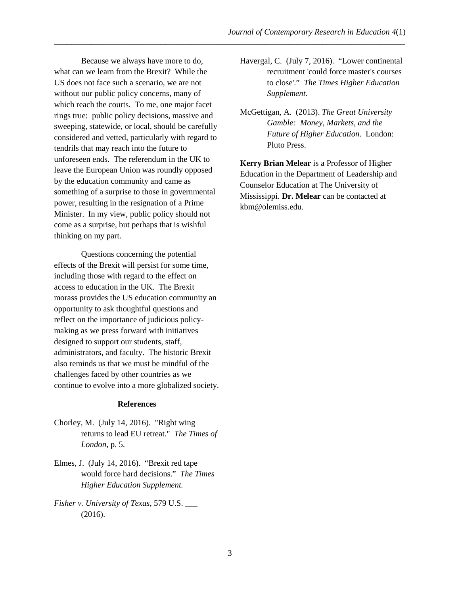Because we always have more to do, what can we learn from the Brexit? While the US does not face such a scenario, we are not without our public policy concerns, many of which reach the courts. To me, one major facet rings true: public policy decisions, massive and sweeping, statewide, or local, should be carefully considered and vetted, particularly with regard to tendrils that may reach into the future to unforeseen ends. The referendum in the UK to leave the European Union was roundly opposed by the education community and came as something of a surprise to those in governmental power, resulting in the resignation of a Prime Minister. In my view, public policy should not come as a surprise, but perhaps that is wishful thinking on my part.

Questions concerning the potential effects of the Brexit will persist for some time, including those with regard to the effect on access to education in the UK. The Brexit morass provides the US education community an opportunity to ask thoughtful questions and reflect on the importance of judicious policymaking as we press forward with initiatives designed to support our students, staff, administrators, and faculty. The historic Brexit also reminds us that we must be mindful of the challenges faced by other countries as we continue to evolve into a more globalized society.

#### **References**

- Chorley, M. (July 14, 2016). "Right wing returns to lead EU retreat." *The Times of London*, p. 5.
- Elmes, J. (July 14, 2016). "Brexit red tape would force hard decisions." *The Times Higher Education Supplement.*
- *Fisher v. University of Texas*, 579 U.S. \_\_\_ (2016).
- Havergal, C. (July 7, 2016). "Lower continental recruitment 'could force master's courses to close'." *The Times Higher Education Supplement*.
- McGettigan, A. (2013). *The Great University Gamble: Money, Markets, and the Future of Higher Education*. London: Pluto Press.

**Kerry Brian Melear** is a Professor of Higher Education in the Department of Leadership and Counselor Education at The University of Mississippi. **Dr. Melear** can be contacted at kbm@olemiss.edu.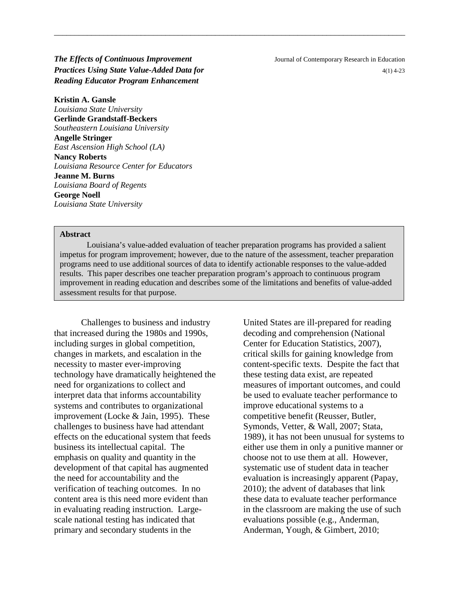## **The Effects of Continuous Improvement** Journal of Contemporary Research in Education *Practices Using State Value-Added Data for Added Data for A(1) 4-23* **<b>***A(1) 4-23 Reading Educator Program Enhancement*

**Kristin A. Gansle** *Louisiana State University* **Gerlinde Grandstaff-Beckers** *Southeastern Louisiana University* **Angelle Stringer** *East Ascension High School (LA)* **Nancy Roberts** *Louisiana Resource Center for Educators* **Jeanne M. Burns** *Louisiana Board of Regents* **George Noell** *Louisiana State University*

#### **Abstract**

Louisiana's value-added evaluation of teacher preparation programs has provided a salient impetus for program improvement; however, due to the nature of the assessment, teacher preparation programs need to use additional sources of data to identify actionable responses to the value-added results. This paper describes one teacher preparation program's approach to continuous program improvement in reading education and describes some of the limitations and benefits of value-added assessment results for that purpose.

\_\_\_\_\_\_\_\_\_\_\_\_\_\_\_\_\_\_\_\_\_\_\_\_\_\_\_\_\_\_\_\_\_\_\_\_\_\_\_\_\_\_\_\_\_\_\_\_\_\_\_\_\_\_\_\_\_\_\_\_\_\_\_\_\_\_\_\_\_\_\_\_\_\_\_\_\_\_\_\_\_\_\_\_\_

Challenges to business and industry that increased during the 1980s and 1990s, including surges in global competition, changes in markets, and escalation in the necessity to master ever-improving technology have dramatically heightened the need for organizations to collect and interpret data that informs accountability systems and contributes to organizational improvement (Locke & Jain, 1995). These challenges to business have had attendant effects on the educational system that feeds business its intellectual capital. The emphasis on quality and quantity in the development of that capital has augmented the need for accountability and the verification of teaching outcomes. In no content area is this need more evident than in evaluating reading instruction. Largescale national testing has indicated that primary and secondary students in the

United States are ill-prepared for reading decoding and comprehension (National Center for Education Statistics, 2007), critical skills for gaining knowledge from content-specific texts. Despite the fact that these testing data exist, are repeated measures of important outcomes, and could be used to evaluate teacher performance to improve educational systems to a competitive benefit (Reusser, Butler, Symonds, Vetter, & Wall, 2007; Stata, 1989), it has not been unusual for systems to either use them in only a punitive manner or choose not to use them at all. However, systematic use of student data in teacher evaluation is increasingly apparent (Papay, 2010); the advent of databases that link these data to evaluate teacher performance in the classroom are making the use of such evaluations possible (e.g., Anderman, Anderman, Yough, & Gimbert, 2010;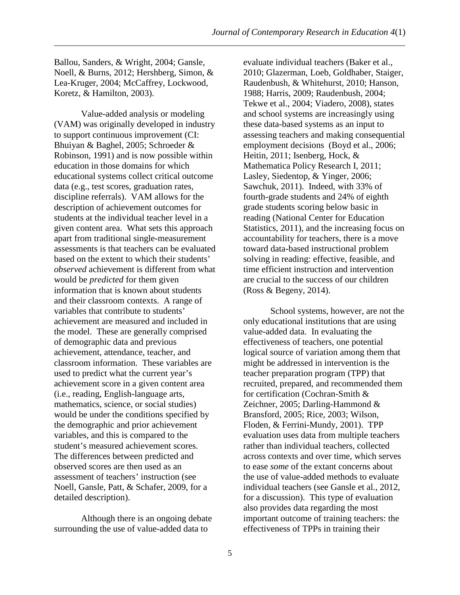Ballou, Sanders, & Wright, 2004; Gansle, Noell, & Burns, 2012; Hershberg, Simon, & Lea-Kruger, 2004; McCaffrey, Lockwood, Koretz, & Hamilton, 2003).

Value-added analysis or modeling (VAM) was originally developed in industry to support continuous improvement (CI: Bhuiyan & Baghel, 2005; Schroeder & Robinson, 1991) and is now possible within education in those domains for which educational systems collect critical outcome data (e.g., test scores, graduation rates, discipline referrals). VAM allows for the description of achievement outcomes for students at the individual teacher level in a given content area. What sets this approach apart from traditional single-measurement assessments is that teachers can be evaluated based on the extent to which their students' *observed* achievement is different from what would be *predicted* for them given information that is known about students and their classroom contexts. A range of variables that contribute to students' achievement are measured and included in the model. These are generally comprised of demographic data and previous achievement, attendance, teacher, and classroom information. These variables are used to predict what the current year's achievement score in a given content area (i.e., reading, English-language arts, mathematics, science, or social studies) would be under the conditions specified by the demographic and prior achievement variables, and this is compared to the student's measured achievement scores. The differences between predicted and observed scores are then used as an assessment of teachers' instruction (see Noell, Gansle, Patt, & Schafer, 2009, for a detailed description).

Although there is an ongoing debate surrounding the use of value-added data to

evaluate individual teachers (Baker et al., 2010; Glazerman, Loeb, Goldhaber, Staiger, Raudenbush, & Whitehurst, 2010; Hanson, 1988; Harris, 2009; Raudenbush, 2004; Tekwe et al., 2004; Viadero, 2008), states and school systems are increasingly using these data-based systems as an input to assessing teachers and making consequential employment decisions (Boyd et al., 2006; Heitin, 2011; Isenberg, Hock, & Mathematica Policy Research I, 2011; Lasley, Siedentop, & Yinger, 2006; Sawchuk, 2011). Indeed, with 33% of fourth-grade students and 24% of eighth grade students scoring below basic in reading (National Center for Education Statistics, 2011), and the increasing focus on accountability for teachers, there is a move toward data-based instructional problem solving in reading: effective, feasible, and time efficient instruction and intervention are crucial to the success of our children (Ross & Begeny, 2014).

School systems, however, are not the only educational institutions that are using value-added data. In evaluating the effectiveness of teachers, one potential logical source of variation among them that might be addressed in intervention is the teacher preparation program (TPP) that recruited, prepared, and recommended them for certification (Cochran-Smith & Zeichner, 2005; Darling-Hammond & Bransford, 2005; Rice, 2003; Wilson, Floden, & Ferrini-Mundy, 2001). TPP evaluation uses data from multiple teachers rather than individual teachers, collected across contexts and over time, which serves to ease *some* of the extant concerns about the use of value-added methods to evaluate individual teachers (see Gansle et al., 2012, for a discussion). This type of evaluation also provides data regarding the most important outcome of training teachers: the effectiveness of TPPs in training their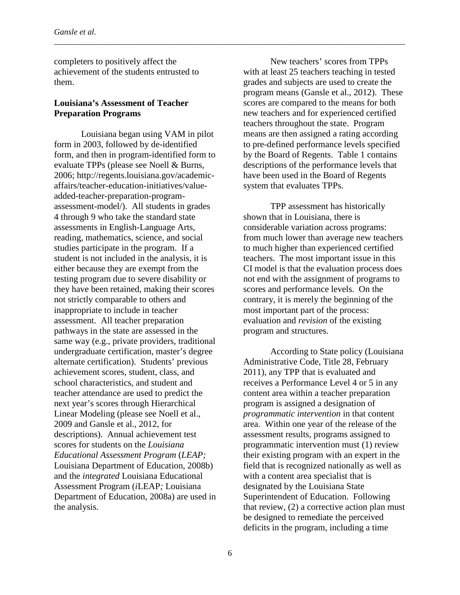completers to positively affect the achievement of the students entrusted to them.

### **Louisiana's Assessment of Teacher Preparation Programs**

Louisiana began using VAM in pilot form in 2003, followed by de-identified form, and then in program-identified form to evaluate TPPs (please see Noell & Burns, 2006; http://regents.louisiana.gov/academicaffairs/teacher-education-initiatives/valueadded-teacher-preparation-programassessment-model/). All students in grades 4 through 9 who take the standard state assessments in English-Language Arts, reading, mathematics, science, and social studies participate in the program. If a student is not included in the analysis, it is either because they are exempt from the testing program due to severe disability or they have been retained, making their scores not strictly comparable to others and inappropriate to include in teacher assessment. All teacher preparation pathways in the state are assessed in the same way (e.g., private providers, traditional undergraduate certification, master's degree alternate certification). Students' previous achievement scores, student, class, and school characteristics, and student and teacher attendance are used to predict the next year's scores through Hierarchical Linear Modeling (please see Noell et al., 2009 and Gansle et al., 2012, for descriptions). Annual achievement test scores for students on the *Louisiana Educational Assessment Program* (*LEAP;*  Louisiana Department of Education, 2008b) and the *integrated* Louisiana Educational Assessment Program (*i*LEAP*;* Louisiana Department of Education, 2008a) are used in the analysis.

New teachers' scores from TPPs with at least 25 teachers teaching in tested grades and subjects are used to create the program means (Gansle et al., 2012). These scores are compared to the means for both new teachers and for experienced certified teachers throughout the state. Program means are then assigned a rating according to pre-defined performance levels specified by the Board of Regents. Table 1 contains descriptions of the performance levels that have been used in the Board of Regents system that evaluates TPPs.

TPP assessment has historically shown that in Louisiana, there is considerable variation across programs: from much lower than average new teachers to much higher than experienced certified teachers. The most important issue in this CI model is that the evaluation process does not end with the assignment of programs to scores and performance levels. On the contrary, it is merely the beginning of the most important part of the process: evaluation and *revision* of the existing program and structures.

According to State policy (Louisiana Administrative Code, Title 28, February 2011), any TPP that is evaluated and receives a Performance Level 4 or 5 in any content area within a teacher preparation program is assigned a designation of *programmatic intervention* in that content area. Within one year of the release of the assessment results, programs assigned to programmatic intervention must (1) review their existing program with an expert in the field that is recognized nationally as well as with a content area specialist that is designated by the Louisiana State Superintendent of Education. Following that review, (2) a corrective action plan must be designed to remediate the perceived deficits in the program, including a time

\_\_\_\_\_\_\_\_\_\_\_\_\_\_\_\_\_\_\_\_\_\_\_\_\_\_\_\_\_\_\_\_\_\_\_\_\_\_\_\_\_\_\_\_\_\_\_\_\_\_\_\_\_\_\_\_\_\_\_\_\_\_\_\_\_\_\_\_\_\_\_\_\_\_\_\_\_\_\_\_\_\_\_\_\_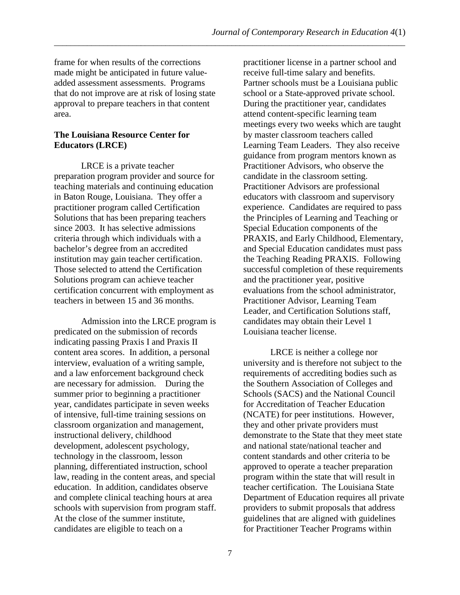frame for when results of the corrections made might be anticipated in future valueadded assessment assessments. Programs that do not improve are at risk of losing state approval to prepare teachers in that content area.

## **The Louisiana Resource Center for Educators (LRCE)**

LRCE is a private teacher preparation program provider and source for teaching materials and continuing education in Baton Rouge, Louisiana. They offer a practitioner program called Certification Solutions that has been preparing teachers since 2003. It has selective admissions criteria through which individuals with a bachelor's degree from an accredited institution may gain teacher certification. Those selected to attend the Certification Solutions program can achieve teacher certification concurrent with employment as teachers in between 15 and 36 months.

Admission into the LRCE program is predicated on the submission of records indicating passing Praxis I and Praxis II content area scores. In addition, a personal interview, evaluation of a writing sample, and a law enforcement background check are necessary for admission. During the summer prior to beginning a practitioner year, candidates participate in seven weeks of intensive, full-time training sessions on classroom organization and management, instructional delivery, childhood development, adolescent psychology, technology in the classroom, lesson planning, differentiated instruction, school law, reading in the content areas, and special education. In addition, candidates observe and complete clinical teaching hours at area schools with supervision from program staff. At the close of the summer institute, candidates are eligible to teach on a

practitioner license in a partner school and receive full-time salary and benefits. Partner schools must be a Louisiana public school or a State-approved private school. During the practitioner year, candidates attend content-specific learning team meetings every two weeks which are taught by master classroom teachers called Learning Team Leaders. They also receive guidance from program mentors known as Practitioner Advisors, who observe the candidate in the classroom setting. Practitioner Advisors are professional educators with classroom and supervisory experience. Candidates are required to pass the Principles of Learning and Teaching or Special Education components of the PRAXIS, and Early Childhood, Elementary, and Special Education candidates must pass the Teaching Reading PRAXIS. Following successful completion of these requirements and the practitioner year, positive evaluations from the school administrator, Practitioner Advisor, Learning Team Leader, and Certification Solutions staff, candidates may obtain their Level 1 Louisiana teacher license.

LRCE is neither a college nor university and is therefore not subject to the requirements of accrediting bodies such as the Southern Association of Colleges and Schools (SACS) and the National Council for Accreditation of Teacher Education (NCATE) for peer institutions. However, they and other private providers must demonstrate to the State that they meet state and national state/national teacher and content standards and other criteria to be approved to operate a teacher preparation program within the state that will result in teacher certification. The Louisiana State Department of Education requires all private providers to submit proposals that address guidelines that are aligned with guidelines for Practitioner Teacher Programs within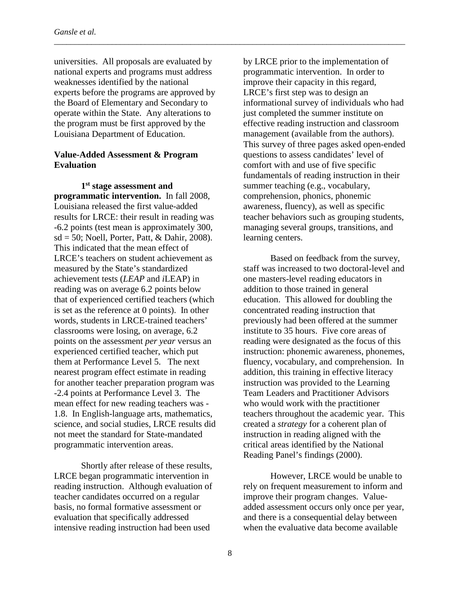universities. All proposals are evaluated by national experts and programs must address weaknesses identified by the national experts before the programs are approved by the Board of Elementary and Secondary to operate within the State. Any alterations to the program must be first approved by the Louisiana Department of Education.

### **Value-Added Assessment & Program Evaluation**

**1st stage assessment and programmatic intervention.** In fall 2008, Louisiana released the first value-added results for LRCE: their result in reading was -6.2 points (test mean is approximately 300,  $sd = 50$ ; Noell, Porter, Patt, & Dahir, 2008). This indicated that the mean effect of LRCE's teachers on student achievement as measured by the State's standardized achievement tests (*LEAP* and *i*LEAP) in reading was on average 6.2 points below that of experienced certified teachers (which is set as the reference at 0 points). In other words, students in LRCE-trained teachers' classrooms were losing, on average, 6.2 points on the assessment *per year* versus an experienced certified teacher, which put them at Performance Level 5. The next nearest program effect estimate in reading for another teacher preparation program was -2.4 points at Performance Level 3. The mean effect for new reading teachers was - 1.8. In English-language arts, mathematics, science, and social studies, LRCE results did not meet the standard for State-mandated programmatic intervention areas.

Shortly after release of these results, LRCE began programmatic intervention in reading instruction. Although evaluation of teacher candidates occurred on a regular basis, no formal formative assessment or evaluation that specifically addressed intensive reading instruction had been used

by LRCE prior to the implementation of programmatic intervention. In order to improve their capacity in this regard, LRCE's first step was to design an informational survey of individuals who had just completed the summer institute on effective reading instruction and classroom management (available from the authors). This survey of three pages asked open-ended questions to assess candidates' level of comfort with and use of five specific fundamentals of reading instruction in their summer teaching (e.g., vocabulary, comprehension, phonics, phonemic awareness, fluency), as well as specific teacher behaviors such as grouping students, managing several groups, transitions, and learning centers.

Based on feedback from the survey, staff was increased to two doctoral-level and one masters-level reading educators in addition to those trained in general education. This allowed for doubling the concentrated reading instruction that previously had been offered at the summer institute to 35 hours. Five core areas of reading were designated as the focus of this instruction: phonemic awareness, phonemes, fluency, vocabulary, and comprehension. In addition, this training in effective literacy instruction was provided to the Learning Team Leaders and Practitioner Advisors who would work with the practitioner teachers throughout the academic year. This created a *strategy* for a coherent plan of instruction in reading aligned with the critical areas identified by the National Reading Panel's findings (2000).

However, LRCE would be unable to rely on frequent measurement to inform and improve their program changes. Valueadded assessment occurs only once per year, and there is a consequential delay between when the evaluative data become available

\_\_\_\_\_\_\_\_\_\_\_\_\_\_\_\_\_\_\_\_\_\_\_\_\_\_\_\_\_\_\_\_\_\_\_\_\_\_\_\_\_\_\_\_\_\_\_\_\_\_\_\_\_\_\_\_\_\_\_\_\_\_\_\_\_\_\_\_\_\_\_\_\_\_\_\_\_\_\_\_\_\_\_\_\_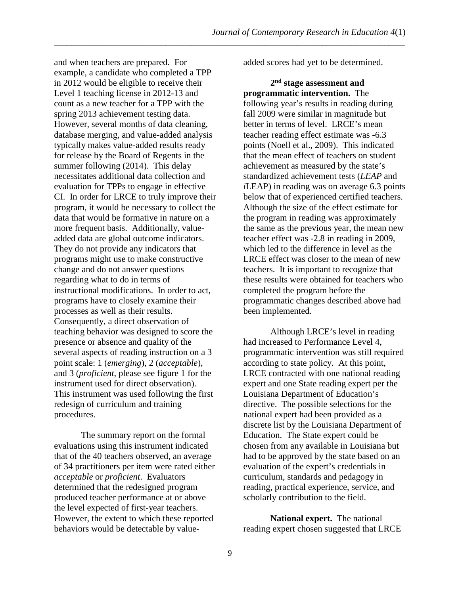and when teachers are prepared. For example, a candidate who completed a TPP in 2012 would be eligible to receive their Level 1 teaching license in 2012-13 and count as a new teacher for a TPP with the spring 2013 achievement testing data. However, several months of data cleaning, database merging, and value-added analysis typically makes value-added results ready for release by the Board of Regents in the summer following (2014). This delay necessitates additional data collection and evaluation for TPPs to engage in effective CI. In order for LRCE to truly improve their program, it would be necessary to collect the data that would be formative in nature on a more frequent basis. Additionally, valueadded data are global outcome indicators. They do not provide any indicators that programs might use to make constructive change and do not answer questions regarding what to do in terms of instructional modifications. In order to act, programs have to closely examine their processes as well as their results. Consequently, a direct observation of teaching behavior was designed to score the presence or absence and quality of the several aspects of reading instruction on a 3 point scale: 1 (*emerging*), 2 (*acceptable*), and 3 (*proficient*, please see figure 1 for the instrument used for direct observation). This instrument was used following the first redesign of curriculum and training procedures.

The summary report on the formal evaluations using this instrument indicated that of the 40 teachers observed, an average of 34 practitioners per item were rated either *acceptable* or *proficient*. Evaluators determined that the redesigned program produced teacher performance at or above the level expected of first-year teachers. However, the extent to which these reported behaviors would be detectable by valueadded scores had yet to be determined.

**2nd stage assessment and programmatic intervention.** The following year's results in reading during fall 2009 were similar in magnitude but better in terms of level. LRCE's mean teacher reading effect estimate was -6.3 points (Noell et al., 2009). This indicated that the mean effect of teachers on student achievement as measured by the state's standardized achievement tests (*LEAP* and *i*LEAP) in reading was on average 6.3 points below that of experienced certified teachers. Although the size of the effect estimate for the program in reading was approximately the same as the previous year, the mean new teacher effect was -2.8 in reading in 2009, which led to the difference in level as the LRCE effect was closer to the mean of new teachers. It is important to recognize that these results were obtained for teachers who completed the program before the programmatic changes described above had been implemented.

Although LRCE's level in reading had increased to Performance Level 4, programmatic intervention was still required according to state policy. At this point, LRCE contracted with one national reading expert and one State reading expert per the Louisiana Department of Education's directive. The possible selections for the national expert had been provided as a discrete list by the Louisiana Department of Education. The State expert could be chosen from any available in Louisiana but had to be approved by the state based on an evaluation of the expert's credentials in curriculum, standards and pedagogy in reading, practical experience, service, and scholarly contribution to the field.

**National expert.** The national reading expert chosen suggested that LRCE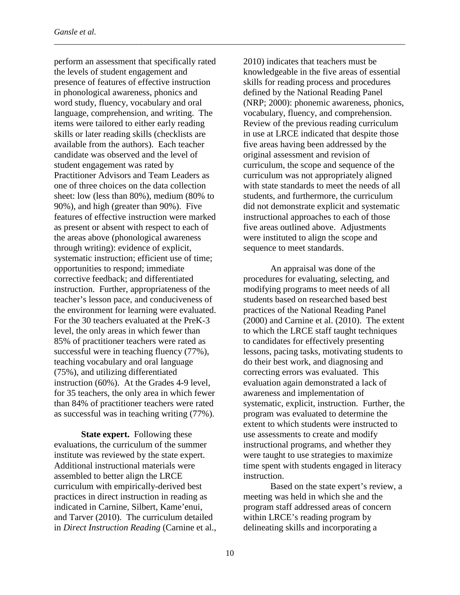perform an assessment that specifically rated the levels of student engagement and presence of features of effective instruction in phonological awareness, phonics and word study, fluency, vocabulary and oral language, comprehension, and writing. The items were tailored to either early reading skills or later reading skills (checklists are available from the authors). Each teacher candidate was observed and the level of student engagement was rated by Practitioner Advisors and Team Leaders as one of three choices on the data collection sheet: low (less than 80%), medium (80% to 90%), and high (greater than 90%). Five features of effective instruction were marked as present or absent with respect to each of the areas above (phonological awareness through writing): evidence of explicit, systematic instruction; efficient use of time; opportunities to respond; immediate corrective feedback; and differentiated instruction. Further, appropriateness of the teacher's lesson pace, and conduciveness of the environment for learning were evaluated. For the 30 teachers evaluated at the PreK-3 level, the only areas in which fewer than 85% of practitioner teachers were rated as successful were in teaching fluency (77%), teaching vocabulary and oral language (75%), and utilizing differentiated instruction (60%). At the Grades 4-9 level, for 35 teachers, the only area in which fewer than 84% of practitioner teachers were rated as successful was in teaching writing (77%).

**State expert.** Following these evaluations, the curriculum of the summer institute was reviewed by the state expert. Additional instructional materials were assembled to better align the LRCE curriculum with empirically-derived best practices in direct instruction in reading as indicated in Carnine, Silbert, Kame'enui, and Tarver (2010). The curriculum detailed in *Direct Instruction Reading* (Carnine et al.,

2010) indicates that teachers must be knowledgeable in the five areas of essential skills for reading process and procedures defined by the National Reading Panel (NRP; 2000): phonemic awareness, phonics, vocabulary, fluency, and comprehension. Review of the previous reading curriculum in use at LRCE indicated that despite those five areas having been addressed by the original assessment and revision of curriculum, the scope and sequence of the curriculum was not appropriately aligned with state standards to meet the needs of all students, and furthermore, the curriculum did not demonstrate explicit and systematic instructional approaches to each of those five areas outlined above. Adjustments were instituted to align the scope and sequence to meet standards.

An appraisal was done of the procedures for evaluating, selecting, and modifying programs to meet needs of all students based on researched based best practices of the National Reading Panel (2000) and Carnine et al. (2010). The extent to which the LRCE staff taught techniques to candidates for effectively presenting lessons, pacing tasks, motivating students to do their best work, and diagnosing and correcting errors was evaluated. This evaluation again demonstrated a lack of awareness and implementation of systematic, explicit, instruction. Further, the program was evaluated to determine the extent to which students were instructed to use assessments to create and modify instructional programs, and whether they were taught to use strategies to maximize time spent with students engaged in literacy instruction.

Based on the state expert's review, a meeting was held in which she and the program staff addressed areas of concern within LRCE's reading program by delineating skills and incorporating a

\_\_\_\_\_\_\_\_\_\_\_\_\_\_\_\_\_\_\_\_\_\_\_\_\_\_\_\_\_\_\_\_\_\_\_\_\_\_\_\_\_\_\_\_\_\_\_\_\_\_\_\_\_\_\_\_\_\_\_\_\_\_\_\_\_\_\_\_\_\_\_\_\_\_\_\_\_\_\_\_\_\_\_\_\_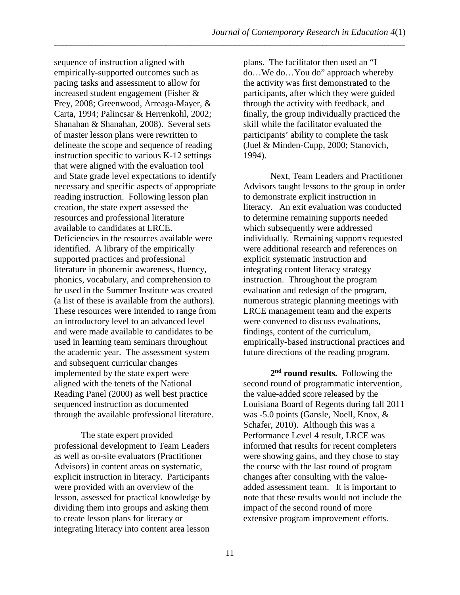sequence of instruction aligned with empirically-supported outcomes such as pacing tasks and assessment to allow for increased student engagement (Fisher & Frey, 2008; Greenwood, Arreaga-Mayer, & Carta, 1994; Palincsar & Herrenkohl, 2002; Shanahan & Shanahan, 2008). Several sets of master lesson plans were rewritten to delineate the scope and sequence of reading instruction specific to various K-12 settings that were aligned with the evaluation tool and State grade level expectations to identify necessary and specific aspects of appropriate reading instruction. Following lesson plan creation, the state expert assessed the resources and professional literature available to candidates at LRCE. Deficiencies in the resources available were identified. A library of the empirically supported practices and professional literature in phonemic awareness, fluency, phonics, vocabulary, and comprehension to be used in the Summer Institute was created (a list of these is available from the authors). These resources were intended to range from an introductory level to an advanced level and were made available to candidates to be used in learning team seminars throughout the academic year. The assessment system and subsequent curricular changes implemented by the state expert were aligned with the tenets of the National Reading Panel (2000) as well best practice sequenced instruction as documented through the available professional literature.

The state expert provided professional development to Team Leaders as well as on-site evaluators (Practitioner Advisors) in content areas on systematic, explicit instruction in literacy. Participants were provided with an overview of the lesson, assessed for practical knowledge by dividing them into groups and asking them to create lesson plans for literacy or integrating literacy into content area lesson

plans. The facilitator then used an "I do…We do…You do" approach whereby the activity was first demonstrated to the participants, after which they were guided through the activity with feedback, and finally, the group individually practiced the skill while the facilitator evaluated the participants' ability to complete the task (Juel & Minden-Cupp, 2000; Stanovich, 1994).

Next, Team Leaders and Practitioner Advisors taught lessons to the group in order to demonstrate explicit instruction in literacy. An exit evaluation was conducted to determine remaining supports needed which subsequently were addressed individually. Remaining supports requested were additional research and references on explicit systematic instruction and integrating content literacy strategy instruction. Throughout the program evaluation and redesign of the program, numerous strategic planning meetings with LRCE management team and the experts were convened to discuss evaluations, findings, content of the curriculum, empirically-based instructional practices and future directions of the reading program.

**2nd round results.** Following the second round of programmatic intervention, the value-added score released by the Louisiana Board of Regents during fall 2011 was -5.0 points (Gansle, Noell, Knox, & Schafer, 2010). Although this was a Performance Level 4 result, LRCE was informed that results for recent completers were showing gains, and they chose to stay the course with the last round of program changes after consulting with the valueadded assessment team. It is important to note that these results would not include the impact of the second round of more extensive program improvement efforts.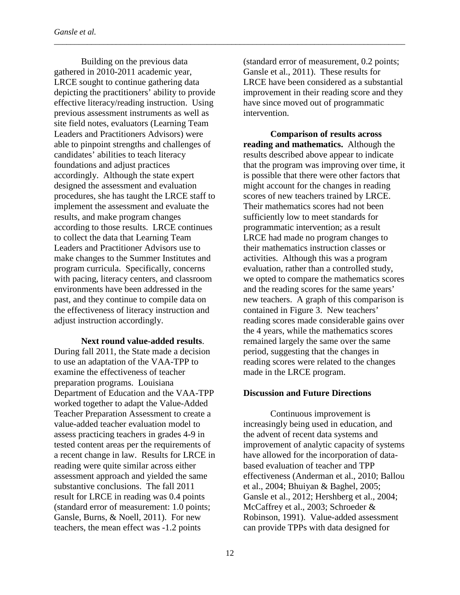Building on the previous data gathered in 2010-2011 academic year, LRCE sought to continue gathering data depicting the practitioners' ability to provide effective literacy/reading instruction. Using previous assessment instruments as well as site field notes, evaluators (Learning Team Leaders and Practitioners Advisors) were able to pinpoint strengths and challenges of candidates' abilities to teach literacy foundations and adjust practices accordingly. Although the state expert designed the assessment and evaluation procedures, she has taught the LRCE staff to implement the assessment and evaluate the results, and make program changes according to those results. LRCE continues to collect the data that Learning Team Leaders and Practitioner Advisors use to make changes to the Summer Institutes and program curricula. Specifically, concerns with pacing, literacy centers, and classroom environments have been addressed in the past, and they continue to compile data on the effectiveness of literacy instruction and adjust instruction accordingly.

**Next round value-added results**. During fall 2011, the State made a decision to use an adaptation of the VAA-TPP to examine the effectiveness of teacher preparation programs. Louisiana Department of Education and the VAA-TPP worked together to adapt the Value-Added Teacher Preparation Assessment to create a value-added teacher evaluation model to assess practicing teachers in grades 4-9 in tested content areas per the requirements of a recent change in law. Results for LRCE in reading were quite similar across either assessment approach and yielded the same substantive conclusions. The fall 2011 result for LRCE in reading was 0.4 points (standard error of measurement: 1.0 points; Gansle, Burns, & Noell, 2011). For new teachers, the mean effect was -1.2 points

(standard error of measurement, 0.2 points; Gansle et al., 2011). These results for LRCE have been considered as a substantial improvement in their reading score and they have since moved out of programmatic intervention.

**Comparison of results across reading and mathematics.** Although the results described above appear to indicate that the program was improving over time, it is possible that there were other factors that might account for the changes in reading scores of new teachers trained by LRCE. Their mathematics scores had not been sufficiently low to meet standards for programmatic intervention; as a result LRCE had made no program changes to their mathematics instruction classes or activities. Although this was a program evaluation, rather than a controlled study, we opted to compare the mathematics scores and the reading scores for the same years' new teachers. A graph of this comparison is contained in Figure 3. New teachers' reading scores made considerable gains over the 4 years, while the mathematics scores remained largely the same over the same period, suggesting that the changes in reading scores were related to the changes made in the LRCE program.

## **Discussion and Future Directions**

Continuous improvement is increasingly being used in education, and the advent of recent data systems and improvement of analytic capacity of systems have allowed for the incorporation of databased evaluation of teacher and TPP effectiveness (Anderman et al., 2010; Ballou et al., 2004; Bhuiyan & Baghel, 2005; Gansle et al., 2012; Hershberg et al., 2004; McCaffrey et al., 2003; Schroeder & Robinson, 1991). Value-added assessment can provide TPPs with data designed for

\_\_\_\_\_\_\_\_\_\_\_\_\_\_\_\_\_\_\_\_\_\_\_\_\_\_\_\_\_\_\_\_\_\_\_\_\_\_\_\_\_\_\_\_\_\_\_\_\_\_\_\_\_\_\_\_\_\_\_\_\_\_\_\_\_\_\_\_\_\_\_\_\_\_\_\_\_\_\_\_\_\_\_\_\_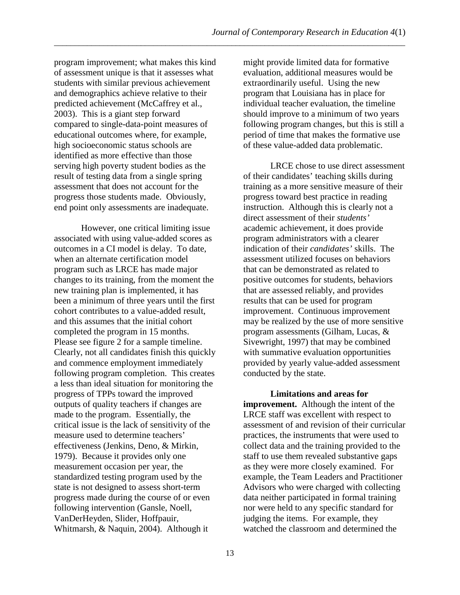program improvement; what makes this kind of assessment unique is that it assesses what students with similar previous achievement and demographics achieve relative to their predicted achievement (McCaffrey et al., 2003). This is a giant step forward compared to single-data-point measures of educational outcomes where, for example, high socioeconomic status schools are identified as more effective than those serving high poverty student bodies as the result of testing data from a single spring assessment that does not account for the progress those students made. Obviously, end point only assessments are inadequate.

However, one critical limiting issue associated with using value-added scores as outcomes in a CI model is delay. To date, when an alternate certification model program such as LRCE has made major changes to its training, from the moment the new training plan is implemented, it has been a minimum of three years until the first cohort contributes to a value-added result, and this assumes that the initial cohort completed the program in 15 months. Please see figure 2 for a sample timeline. Clearly, not all candidates finish this quickly and commence employment immediately following program completion. This creates a less than ideal situation for monitoring the progress of TPPs toward the improved outputs of quality teachers if changes are made to the program. Essentially, the critical issue is the lack of sensitivity of the measure used to determine teachers' effectiveness (Jenkins, Deno, & Mirkin, 1979). Because it provides only one measurement occasion per year, the standardized testing program used by the state is not designed to assess short-term progress made during the course of or even following intervention (Gansle, Noell, VanDerHeyden, Slider, Hoffpauir, Whitmarsh, & Naquin, 2004). Although it

might provide limited data for formative evaluation, additional measures would be extraordinarily useful. Using the new program that Louisiana has in place for individual teacher evaluation, the timeline should improve to a minimum of two years following program changes, but this is still a period of time that makes the formative use of these value-added data problematic.

LRCE chose to use direct assessment of their candidates' teaching skills during training as a more sensitive measure of their progress toward best practice in reading instruction. Although this is clearly not a direct assessment of their *students'* academic achievement, it does provide program administrators with a clearer indication of their *candidates'* skills. The assessment utilized focuses on behaviors that can be demonstrated as related to positive outcomes for students, behaviors that are assessed reliably, and provides results that can be used for program improvement. Continuous improvement may be realized by the use of more sensitive program assessments (Gilham, Lucas, & Sivewright, 1997) that may be combined with summative evaluation opportunities provided by yearly value-added assessment conducted by the state.

**Limitations and areas for improvement.** Although the intent of the LRCE staff was excellent with respect to assessment of and revision of their curricular practices, the instruments that were used to collect data and the training provided to the staff to use them revealed substantive gaps as they were more closely examined. For example, the Team Leaders and Practitioner Advisors who were charged with collecting data neither participated in formal training nor were held to any specific standard for judging the items. For example, they watched the classroom and determined the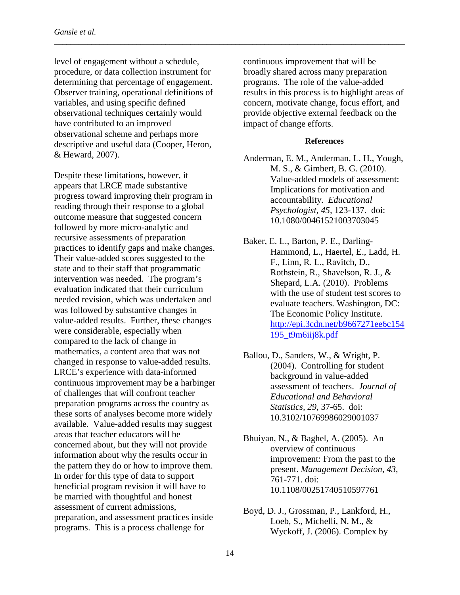level of engagement without a schedule, procedure, or data collection instrument for determining that percentage of engagement. Observer training, operational definitions of variables, and using specific defined observational techniques certainly would have contributed to an improved observational scheme and perhaps more descriptive and useful data (Cooper, Heron, & Heward, 2007).

Despite these limitations, however, it appears that LRCE made substantive progress toward improving their program in reading through their response to a global outcome measure that suggested concern followed by more micro-analytic and recursive assessments of preparation practices to identify gaps and make changes. Their value-added scores suggested to the state and to their staff that programmatic intervention was needed. The program's evaluation indicated that their curriculum needed revision, which was undertaken and was followed by substantive changes in value-added results. Further, these changes were considerable, especially when compared to the lack of change in mathematics, a content area that was not changed in response to value-added results. LRCE's experience with data-informed continuous improvement may be a harbinger of challenges that will confront teacher preparation programs across the country as these sorts of analyses become more widely available. Value-added results may suggest areas that teacher educators will be concerned about, but they will not provide information about why the results occur in the pattern they do or how to improve them. In order for this type of data to support beneficial program revision it will have to be married with thoughtful and honest assessment of current admissions, preparation, and assessment practices inside programs. This is a process challenge for

\_\_\_\_\_\_\_\_\_\_\_\_\_\_\_\_\_\_\_\_\_\_\_\_\_\_\_\_\_\_\_\_\_\_\_\_\_\_\_\_\_\_\_\_\_\_\_\_\_\_\_\_\_\_\_\_\_\_\_\_\_\_\_\_\_\_\_\_\_\_\_\_\_\_\_\_\_\_\_\_\_\_\_\_\_

continuous improvement that will be broadly shared across many preparation programs. The role of the value-added results in this process is to highlight areas of concern, motivate change, focus effort, and provide objective external feedback on the impact of change efforts.

#### **References**

- Anderman, E. M., Anderman, L. H., Yough, M. S., & Gimbert, B. G. (2010). Value-added models of assessment: Implications for motivation and accountability. *Educational Psychologist, 45,* 123-137. doi: 10.1080/00461521003703045
- Baker, E. L., Barton, P. E., Darling-Hammond, L., Haertel, E., Ladd, H. F., Linn, R. L., Ravitch, D., Rothstein, R., Shavelson, R. J., & Shepard, L.A. (2010). Problems with the use of student test scores to evaluate teachers. Washington, DC: The Economic Policy Institute. [http://epi.3cdn.net/b9667271ee6c154](http://epi.3cdn.net/b9667271ee6c154195_t9m6iij8k.pdf) [195\\_t9m6iij8k.pdf](http://epi.3cdn.net/b9667271ee6c154195_t9m6iij8k.pdf)
- Ballou, D., Sanders, W., & Wright, P. (2004). Controlling for student background in value-added assessment of teachers. *Journal of Educational and Behavioral Statistics, 29,* 37-65. doi: 10.3102/10769986029001037
- Bhuiyan, N., & Baghel, A. (2005). An overview of continuous improvement: From the past to the present. *Management Decision*, *43*, 761-771. doi: 10.1108/00251740510597761
- Boyd, D. J., Grossman, P., Lankford, H., Loeb, S., Michelli, N. M., & Wyckoff, J. (2006). Complex by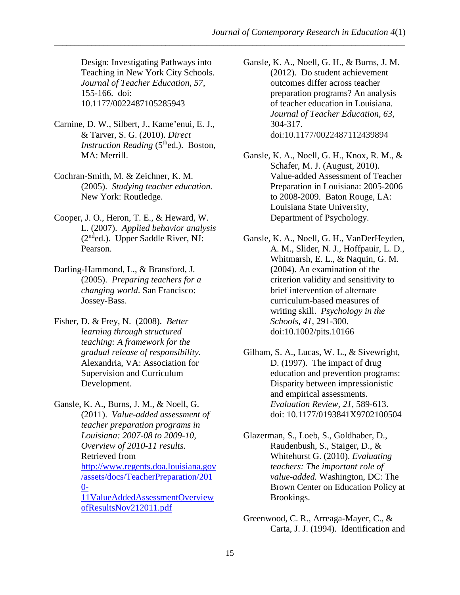Design: Investigating Pathways into Teaching in New York City Schools. *Journal of Teacher Education*, *57*, 155-166. doi: 10.1177/0022487105285943

- Carnine, D. W., Silbert, J., Kame'enui, E. J., & Tarver, S. G. (2010). *Direct Instruction Reading* (5<sup>th</sup>ed.). Boston, MA: Merrill.
- Cochran-Smith, M. & Zeichner, K. M. (2005). *Studying teacher education.* New York: Routledge.
- Cooper, J. O., Heron, T. E., & Heward, W. L. (2007). *Applied behavior analysis*  $(2<sup>nd</sup>ed.)$ . Upper Saddle River, NJ: Pearson.
- Darling-Hammond, L., & Bransford, J. (2005). *Preparing teachers for a changing world*. San Francisco: Jossey-Bass.
- Fisher, D. & Frey, N. (2008). *Better learning through structured teaching: A framework for the gradual release of responsibility.*  Alexandria, VA: Association for Supervision and Curriculum Development.

Gansle, K. A., Burns, J. M., & Noell, G. (2011). *Value-added assessment of teacher preparation programs in Louisiana: 2007-08 to 2009-10, Overview of 2010-11 results.* Retrieved from [http://www.regents.doa.louisiana.gov](http://www.regents.doa.louisiana.gov/assets/docs/TeacherPreparation/2010-11ValueAddedAssessmentOverviewofResultsNov212011.pdf) [/assets/docs/TeacherPreparation/201](http://www.regents.doa.louisiana.gov/assets/docs/TeacherPreparation/2010-11ValueAddedAssessmentOverviewofResultsNov212011.pdf)  $0-$ [11ValueAddedAssessmentOverview](http://www.regents.doa.louisiana.gov/assets/docs/TeacherPreparation/2010-11ValueAddedAssessmentOverviewofResultsNov212011.pdf) [ofResultsNov212011.pdf](http://www.regents.doa.louisiana.gov/assets/docs/TeacherPreparation/2010-11ValueAddedAssessmentOverviewofResultsNov212011.pdf)

Gansle, K. A., Noell, G. H., & Burns, J. M. (2012). Do student achievement outcomes differ across teacher preparation programs? An analysis of teacher education in Louisiana. *Journal of Teacher Education, 63,* 304-317. doi:10.1177/0022487112439894

- Gansle, K. A., Noell, G. H., Knox, R. M., & Schafer, M. J. (August, 2010). Value-added Assessment of Teacher Preparation in Louisiana: 2005-2006 to 2008-2009. Baton Rouge, LA: Louisiana State University, Department of Psychology.
- Gansle, K. A., Noell, G. H., VanDerHeyden, A. M., Slider, N. J., Hoffpauir, L. D., Whitmarsh, E. L., & Naquin, G. M. (2004). An examination of the criterion validity and sensitivity to brief intervention of alternate curriculum-based measures of writing skill. *Psychology in the Schools*, *41*, 291-300. doi:10.1002/pits.10166

Gilham, S. A., Lucas, W. L., & Sivewright, D. (1997). The impact of drug education and prevention programs: Disparity between impressionistic and empirical assessments. *Evaluation Review, 21,* 589-613. doi: 10.1177/0193841X9702100504

Glazerman, S., Loeb, S., Goldhaber, D., Raudenbush, S., Staiger, D., & Whitehurst G. (2010). *Evaluating teachers: The important role of value-added.* Washington, DC: The Brown Center on Education Policy at Brookings.

Greenwood, C. R., Arreaga-Mayer, C., & Carta, J. J. (1994). Identification and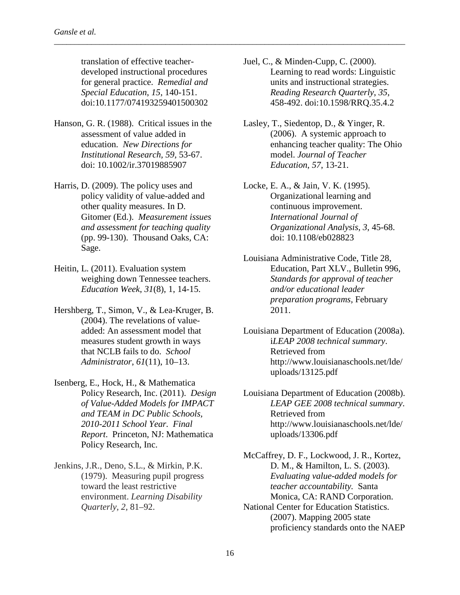translation of effective teacherdeveloped instructional procedures for general practice. *Remedial and Special Education*, *15*, 140-151. doi:10.1177/074193259401500302

\_\_\_\_\_\_\_\_\_\_\_\_\_\_\_\_\_\_\_\_\_\_\_\_\_\_\_\_\_\_\_\_\_\_\_\_\_\_\_\_\_\_\_\_\_\_\_\_\_\_\_\_\_\_\_\_\_\_\_\_\_\_\_\_\_\_\_\_\_\_\_\_\_\_\_\_\_\_\_\_\_\_\_\_\_

- Hanson, G. R. (1988). Critical issues in the assessment of value added in education. *New Directions for Institutional Research, 59,* 53-67. doi: 10.1002/ir.37019885907
- Harris, D. (2009). The policy uses and policy validity of value-added and other quality measures. In D. Gitomer (Ed.). *Measurement issues and assessment for teaching quality* (pp. 99-130). Thousand Oaks, CA: Sage.
- Heitin, L. (2011). Evaluation system weighing down Tennessee teachers. *Education Week*, *31*(8), 1, 14-15.
- Hershberg, T., Simon, V., & Lea-Kruger, B. (2004). The revelations of valueadded: An assessment model that measures student growth in ways that NCLB fails to do. *School Administrator*, *61*(11), 10–13.
- Isenberg, E., Hock, H., & Mathematica Policy Research, Inc. (2011). *Design of Value-Added Models for IMPACT and TEAM in DC Public Schools, 2010-2011 School Year. Final Report*. Princeton, NJ: Mathematica Policy Research, Inc.
- Jenkins, J.R., Deno, S.L., & Mirkin, P.K. (1979). Measuring pupil progress toward the least restrictive environment. *Learning Disability Quarterly, 2,* 81–92.
- Juel, C., & Minden-Cupp, C. (2000). Learning to read words: Linguistic units and instructional strategies. *Reading Research Quarterly*, *35*, 458-492. doi:10.1598/RRQ.35.4.2
- Lasley, T., Siedentop, D., & Yinger, R. (2006). A systemic approach to enhancing teacher quality: The Ohio model. *Journal of Teacher Education*, *57*, 13-21.
- Locke, E. A., & Jain, V. K. (1995). Organizational learning and continuous improvement. *International Journal of Organizational Analysis*, *3*, 45-68. doi: 10.1108/eb028823
- Louisiana Administrative Code, Title 28, Education, Part XLV., Bulletin 996, *Standards for approval of teacher and/or educational leader preparation programs,* February 2011.
- Louisiana Department of Education (2008a). i*LEAP 2008 technical summary*. Retrieved from http://www.louisianaschools.net/lde/ uploads/13125.pdf
- Louisiana Department of Education (2008b). *LEAP GEE 2008 technical summary*. Retrieved from http://www.louisianaschools.net/lde/ uploads/13306.pdf

McCaffrey, D. F., Lockwood, J. R., Kortez, D. M., & Hamilton, L. S. (2003). *Evaluating value-added models for teacher accountability.* Santa Monica, CA: RAND Corporation.

National Center for Education Statistics. (2007). Mapping 2005 state proficiency standards onto the NAEP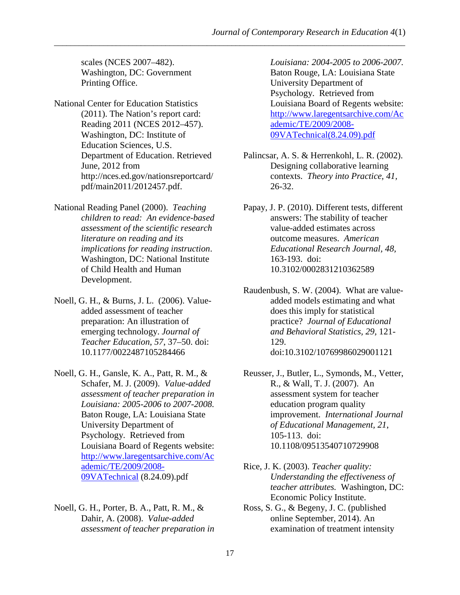scales (NCES 2007–482). Washington, DC: Government Printing Office.

- National Center for Education Statistics (2011). The Nation's report card: Reading 2011 (NCES 2012–457). Washington, DC: Institute of Education Sciences, U.S. Department of Education. Retrieved June, 2012 from http://nces.ed.gov/nationsreportcard/ pdf/main2011/2012457.pdf.
- National Reading Panel (2000). *Teaching children to read: An evidence-based assessment of the scientific research literature on reading and its implications for reading instruction*. Washington, DC: National Institute of Child Health and Human Development.
- Noell, G. H., & Burns, J. L. (2006). Valueadded assessment of teacher preparation: An illustration of emerging technology. *Journal of Teacher Education*, *57*, 37–50. doi: 10.1177/0022487105284466
- Noell, G. H., Gansle, K. A., Patt, R. M., & Schafer, M. J. (2009). *Value-added assessment of teacher preparation in Louisiana: 2005-2006 to 2007-2008.*  Baton Rouge, LA: Louisiana State University Department of Psychology. Retrieved from Louisiana Board of Regents website: [http://www.laregentsarchive.com/Ac](http://www.laregentsarchive.com/Academic/TE/2009/2008-09VATechnical) [ademic/TE/2009/2008-](http://www.laregentsarchive.com/Academic/TE/2009/2008-09VATechnical) [09VATechnical](http://www.laregentsarchive.com/Academic/TE/2009/2008-09VATechnical) (8.24.09).pdf
- Noell, G. H., Porter, B. A., Patt, R. M., & Dahir, A. (2008). *Value-added assessment of teacher preparation in*

*Louisiana: 2004-2005 to 2006-2007.* Baton Rouge, LA: Louisiana State University Department of Psychology. Retrieved from Louisiana Board of Regents website: [http://www.laregentsarchive.com/Ac](http://www.laregentsarchive.com/Academic/TE/2009/2008-09VATechnical(8.24.09).pdf) [ademic/TE/2009/2008-](http://www.laregentsarchive.com/Academic/TE/2009/2008-09VATechnical(8.24.09).pdf) [09VATechnical\(8.24.09\).pdf](http://www.laregentsarchive.com/Academic/TE/2009/2008-09VATechnical(8.24.09).pdf)

- Palincsar, A. S. & Herrenkohl, L. R. (2002). Designing collaborative learning contexts. *Theory into Practice, 41,* 26-32.
- Papay, J. P. (2010). Different tests, different answers: The stability of teacher value-added estimates across outcome measures. *American Educational Research Journal, 48,* 163-193. doi: 10.3102/0002831210362589
- Raudenbush, S. W. (2004). What are valueadded models estimating and what does this imply for statistical practice? *Journal of Educational and Behavioral Statistics, 29,* 121- 129. doi:10.3102/10769986029001121
- Reusser, J., Butler, L., Symonds, M., Vetter, R., & Wall, T. J. (2007). An assessment system for teacher education program quality improvement. *International Journal of Educational Management, 21*, 105-113. doi: 10.1108/09513540710729908
- Rice, J. K. (2003). *Teacher quality: Understanding the effectiveness of teacher attributes.* Washington, DC: Economic Policy Institute.
- Ross, S. G., & Begeny, J. C. (published online September, 2014). An examination of treatment intensity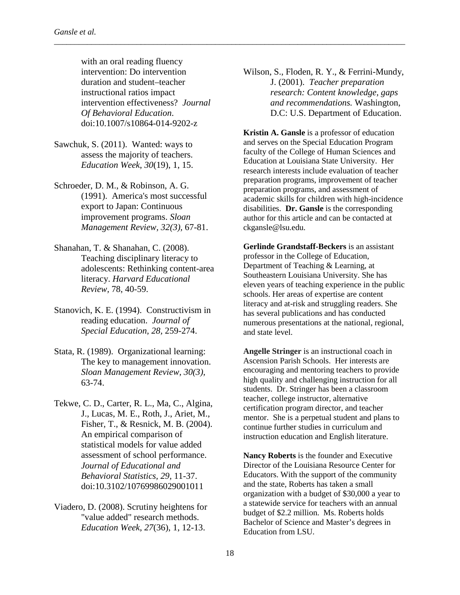with an oral reading fluency intervention: Do intervention duration and student–teacher instructional ratios impact intervention effectiveness? *Journal Of Behavioral Education*. doi:10.1007/s10864-014-9202-z

\_\_\_\_\_\_\_\_\_\_\_\_\_\_\_\_\_\_\_\_\_\_\_\_\_\_\_\_\_\_\_\_\_\_\_\_\_\_\_\_\_\_\_\_\_\_\_\_\_\_\_\_\_\_\_\_\_\_\_\_\_\_\_\_\_\_\_\_\_\_\_\_\_\_\_\_\_\_\_\_\_\_\_\_\_

- Sawchuk, S. (2011). Wanted: ways to assess the majority of teachers. *Education Week*, *30*(19), 1, 15.
- Schroeder, D. M., & Robinson, A. G. (1991). America's most successful export to Japan: Continuous improvement programs. *Sloan Management Review, 32(3),* 67-81.
- Shanahan, T. & Shanahan, C. (2008). Teaching disciplinary literacy to adolescents: Rethinking content-area literacy. *Harvard Educational Review,* 78, 40-59.
- Stanovich, K. E. (1994). Constructivism in reading education. *Journal of Special Education, 28,* 259-274.
- Stata, R. (1989). Organizational learning: The key to management innovation. *Sloan Management Review, 30(3),* 63-74.
- Tekwe, C. D., Carter, R. L., Ma, C., Algina, J., Lucas, M. E., Roth, J., Ariet, M., Fisher, T., & Resnick, M. B. (2004). An empirical comparison of statistical models for value added assessment of school performance. *Journal of Educational and Behavioral Statistics, 29,* 11-37. doi:10.3102/10769986029001011
- Viadero, D. (2008). Scrutiny heightens for "value added" research methods. *Education Week*, *27*(36), 1, 12-13.

Wilson, S., Floden, R. Y., & Ferrini-Mundy, J. (2001). *Teacher preparation research: Content knowledge, gaps and recommendations.* Washington, D.C: U.S. Department of Education.

**Kristin A. Gansle** is a professor of education and serves on the Special Education Program faculty of the College of Human Sciences and Education at Louisiana State University. Her research interests include evaluation of teacher preparation programs, improvement of teacher preparation programs, and assessment of academic skills for children with high-incidence disabilities. **Dr. Gansle** is the corresponding author for this article and can be contacted at ckgansle@lsu.edu.

**Gerlinde Grandstaff-Beckers** is an assistant professor in the College of Education, Department of Teaching & Learning, at Southeastern Louisiana University. She has eleven years of teaching experience in the public schools. Her areas of expertise are content literacy and at-risk and struggling readers. She has several publications and has conducted numerous presentations at the national, regional, and state level.

**Angelle Stringer** is an instructional coach in Ascension Parish Schools. Her interests are encouraging and mentoring teachers to provide high quality and challenging instruction for all students. Dr. Stringer has been a classroom teacher, college instructor, alternative certification program director, and teacher mentor. She is a perpetual student and plans to continue further studies in curriculum and instruction education and English literature.

**Nancy Roberts** is the founder and Executive Director of the Louisiana Resource Center for Educators. With the support of the community and the state, Roberts has taken a small organization with a budget of \$30,000 a year to a statewide service for teachers with an annual budget of \$2.2 million. Ms. Roberts holds Bachelor of Science and Master's degrees in Education from LSU.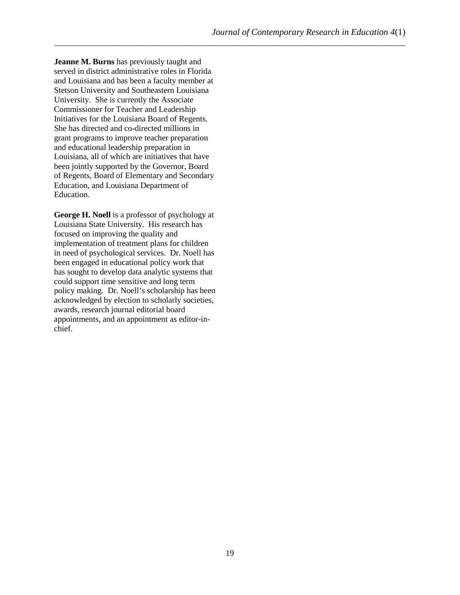**Jeanne M. Burns** has previously taught and served in district administrative roles in Florida and Louisiana and has been a faculty member at Stetson University and Southeastern Louisiana University. She is currently the Associate Commissioner for Teacher and Leadership Initiatives for the Louisiana Board of Regents. She has directed and co-directed millions in grant programs to improve teacher preparation and educational leadership preparation in Louisiana, all of which are initiatives that have been jointly supported by the Governor, Board of Regents, Board of Elementary and Secondary Education, and Louisiana Department of Education.

**George H. Noell** is a professor of psychology at Louisiana State University. His research has focused on improving the quality and implementation of treatment plans for children in need of psychological services. Dr. Noell has been engaged in educational policy work that has sought to develop data analytic systems that could support time sensitive and long term policy making. Dr. Noell's scholarship has been acknowledged by election to scholarly societies, awards, research journal editorial board appointments, and an appointment as editor-inchief.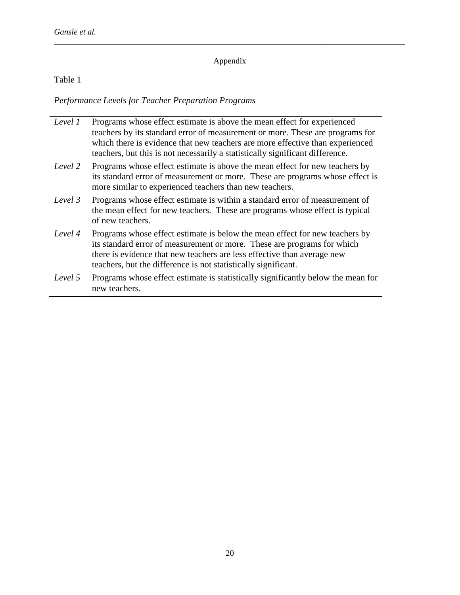## Appendix

\_\_\_\_\_\_\_\_\_\_\_\_\_\_\_\_\_\_\_\_\_\_\_\_\_\_\_\_\_\_\_\_\_\_\_\_\_\_\_\_\_\_\_\_\_\_\_\_\_\_\_\_\_\_\_\_\_\_\_\_\_\_\_\_\_\_\_\_\_\_\_\_\_\_\_\_\_\_\_\_\_\_\_\_\_

Table 1

*Performance Levels for Teacher Preparation Programs*

| Level 1 | Programs whose effect estimate is above the mean effect for experienced<br>teachers by its standard error of measurement or more. These are programs for<br>which there is evidence that new teachers are more effective than experienced<br>teachers, but this is not necessarily a statistically significant difference. |
|---------|----------------------------------------------------------------------------------------------------------------------------------------------------------------------------------------------------------------------------------------------------------------------------------------------------------------------------|
| Level 2 | Programs whose effect estimate is above the mean effect for new teachers by<br>its standard error of measurement or more. These are programs whose effect is<br>more similar to experienced teachers than new teachers.                                                                                                    |
| Level 3 | Programs whose effect estimate is within a standard error of measurement of<br>the mean effect for new teachers. These are programs whose effect is typical<br>of new teachers.                                                                                                                                            |
| Level 4 | Programs whose effect estimate is below the mean effect for new teachers by<br>its standard error of measurement or more. These are programs for which<br>there is evidence that new teachers are less effective than average new<br>teachers, but the difference is not statistically significant.                        |
| Level 5 | Programs whose effect estimate is statistically significantly below the mean for<br>new teachers.                                                                                                                                                                                                                          |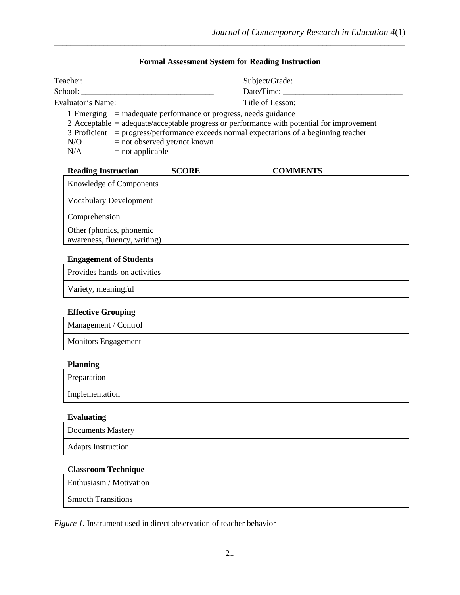## **Formal Assessment System for Reading Instruction**

\_\_\_\_\_\_\_\_\_\_\_\_\_\_\_\_\_\_\_\_\_\_\_\_\_\_\_\_\_\_\_\_\_\_\_\_\_\_\_\_\_\_\_\_\_\_\_\_\_\_\_\_\_\_\_\_\_\_\_\_\_\_\_\_\_\_\_\_\_\_\_\_\_\_\_\_\_\_\_\_\_\_\_\_\_

| Teacher: _______ |                                                                                                                                                                                                                                                                                                                  | Subject/Grade:   |
|------------------|------------------------------------------------------------------------------------------------------------------------------------------------------------------------------------------------------------------------------------------------------------------------------------------------------------------|------------------|
| School:          |                                                                                                                                                                                                                                                                                                                  | Date/Time:       |
|                  | Evaluator's Name:                                                                                                                                                                                                                                                                                                | Title of Lesson: |
| N/O<br>N/A       | 1 Emerging $=$ inadequate performance or progress, needs guidance<br>2 Acceptable = adequate/acceptable progress or performance with potential for improvement<br>3 Proficient = progress/performance exceeds normal expectations of a beginning teacher<br>$=$ not observed yet/not known<br>$=$ not applicable |                  |

| <b>Reading Instruction</b>                               | <b>SCORE</b> | <b>COMMENTS</b> |
|----------------------------------------------------------|--------------|-----------------|
| Knowledge of Components                                  |              |                 |
| <b>Vocabulary Development</b>                            |              |                 |
| Comprehension                                            |              |                 |
| Other (phonics, phonemic<br>awareness, fluency, writing) |              |                 |

## **Engagement of Students**

| Provides hands-on activities |  |
|------------------------------|--|
| Variety, meaningful          |  |

## **Effective Grouping**

| Management / Control       |  |
|----------------------------|--|
| <b>Monitors Engagement</b> |  |

## **Planning**

| Preparation    |  |
|----------------|--|
| Implementation |  |

#### **Evaluating**

| <b>Documents Mastery</b>  |  |
|---------------------------|--|
| <b>Adapts Instruction</b> |  |

## **Classroom Technique**

| Enthusiasm / Motivation   |  |
|---------------------------|--|
| <b>Smooth Transitions</b> |  |

*Figure 1.* Instrument used in direct observation of teacher behavior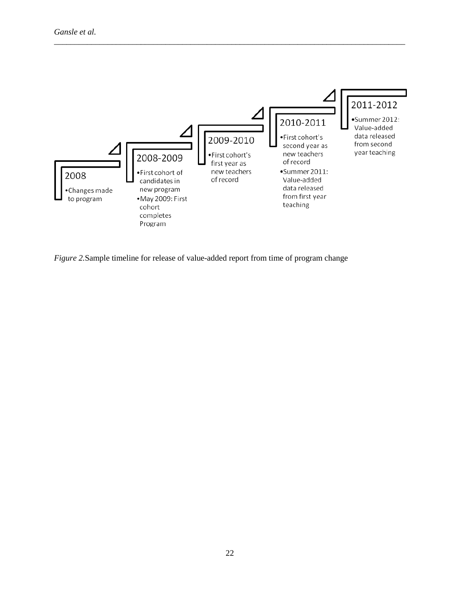

*Figure 2.*Sample timeline for release of value-added report from time of program change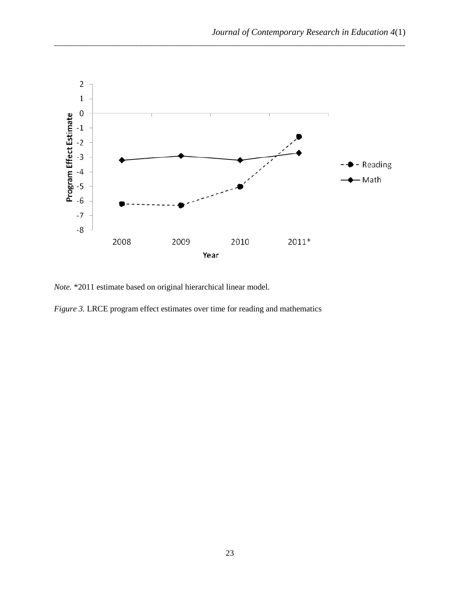

*Note.* \*2011 estimate based on original hierarchical linear model.

*Figure 3.* LRCE program effect estimates over time for reading and mathematics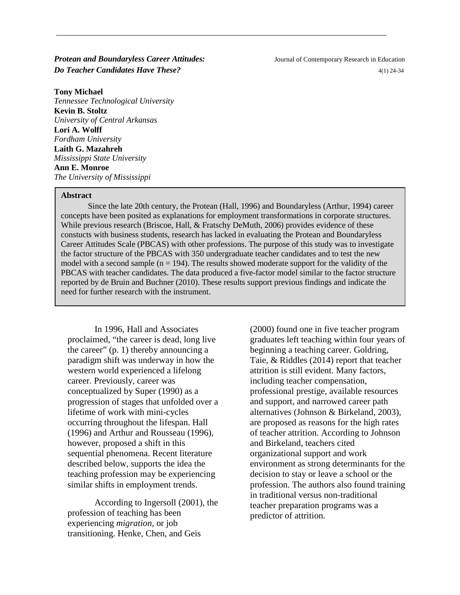**Protean and Boundaryless Career Attitudes:** Journal of Contemporary Research in Education *Do Teacher Candidates Have These?*  $4(1)$  24-34

**Tony Michael**

*Tennessee Technological University* **Kevin B. Stoltz** *University of Central Arkansas* **Lori A. Wolff** *Fordham University* **Laith G. Mazahreh** *Mississippi State University* **Ann E. Monroe** *The University of Mississippi*

#### **Abstract**

Since the late 20th century, the Protean (Hall, 1996) and Boundaryless (Arthur, 1994) career concepts have been posited as explanations for employment transformations in corporate structures. While previous research (Briscoe, Hall, & Fratschy DeMuth, 2006) provides evidence of these constucts with business students, research has lacked in evaluating the Protean and Boundaryless Career Attitudes Scale (PBCAS) with other professions. The purpose of this study was to investigate the factor structure of the PBCAS with 350 undergraduate teacher candidates and to test the new model with a second sample  $(n = 194)$ . The results showed moderate support for the validity of the PBCAS with teacher candidates. The data produced a five-factor model similar to the factor structure reported by de Bruin and Buchner (2010). These results support previous findings and indicate the need for further research with the instrument.

\_\_\_\_\_\_\_\_\_\_\_\_\_\_\_\_\_\_\_\_\_\_\_\_\_\_\_\_\_\_\_\_\_\_\_\_\_\_\_\_\_\_\_\_\_\_\_\_\_\_\_\_\_\_\_\_\_\_\_\_\_\_\_\_\_\_\_\_\_\_\_\_\_\_\_\_\_\_\_\_

In 1996, Hall and Associates proclaimed, "the career is dead, long live the career" (p. 1) thereby announcing a paradigm shift was underway in how the western world experienced a lifelong career. Previously, career was conceptualized by Super (1990) as a progression of stages that unfolded over a lifetime of work with mini-cycles occurring throughout the lifespan. Hall (1996) and Arthur and Rousseau (1996), however, proposed a shift in this sequential phenomena. Recent literature described below, supports the idea the teaching profession may be experiencing similar shifts in employment trends.

According to Ingersoll (2001), the profession of teaching has been experiencing *migration*, or job transitioning. Henke, Chen, and Geis

(2000) found one in five teacher program graduates left teaching within four years of beginning a teaching career. Goldring, Taie, & Riddles (2014) report that teacher attrition is still evident. Many factors, including teacher compensation, professional prestige, available resources and support, and narrowed career path alternatives (Johnson & Birkeland, 2003), are proposed as reasons for the high rates of teacher attrition. According to Johnson and Birkeland, teachers cited organizational support and work environment as strong determinants for the decision to stay or leave a school or the profession. The authors also found training in traditional versus non-traditional teacher preparation programs was a predictor of attrition.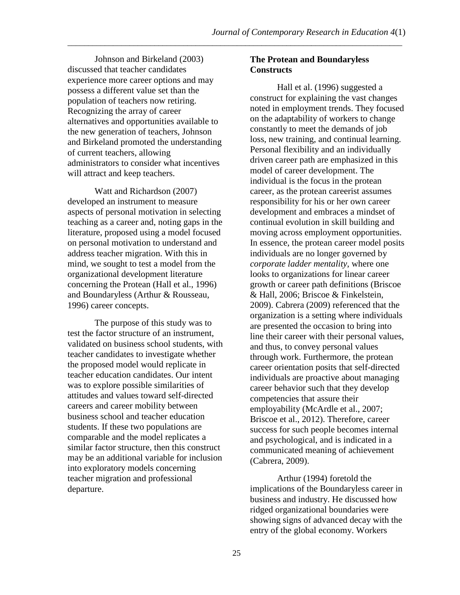Johnson and Birkeland (2003) discussed that teacher candidates experience more career options and may possess a different value set than the population of teachers now retiring. Recognizing the array of career alternatives and opportunities available to the new generation of teachers, Johnson and Birkeland promoted the understanding of current teachers, allowing administrators to consider what incentives will attract and keep teachers.

Watt and Richardson (2007) developed an instrument to measure aspects of personal motivation in selecting teaching as a career and, noting gaps in the literature, proposed using a model focused on personal motivation to understand and address teacher migration. With this in mind, we sought to test a model from the organizational development literature concerning the Protean (Hall et al., 1996) and Boundaryless (Arthur & Rousseau, 1996) career concepts.

The purpose of this study was to test the factor structure of an instrument, validated on business school students, with teacher candidates to investigate whether the proposed model would replicate in teacher education candidates. Our intent was to explore possible similarities of attitudes and values toward self-directed careers and career mobility between business school and teacher education students. If these two populations are comparable and the model replicates a similar factor structure, then this construct may be an additional variable for inclusion into exploratory models concerning teacher migration and professional departure.

## **The Protean and Boundaryless Constructs**

Hall et al. (1996) suggested a construct for explaining the vast changes noted in employment trends. They focused on the adaptability of workers to change constantly to meet the demands of job loss, new training, and continual learning. Personal flexibility and an individually driven career path are emphasized in this model of career development. The individual is the focus in the protean career, as the protean careerist assumes responsibility for his or her own career development and embraces a mindset of continual evolution in skill building and moving across employment opportunities. In essence, the protean career model posits individuals are no longer governed by *corporate ladder mentality*, where one looks to organizations for linear career growth or career path definitions (Briscoe & Hall, 2006; Briscoe & Finkelstein, 2009). Cabrera (2009) referenced that the organization is a setting where individuals are presented the occasion to bring into line their career with their personal values, and thus, to convey personal values through work. Furthermore, the protean career orientation posits that self-directed individuals are proactive about managing career behavior such that they develop competencies that assure their employability (McArdle et al., 2007; Briscoe et al., 2012). Therefore, career success for such people becomes internal and psychological, and is indicated in a communicated meaning of achievement (Cabrera, 2009).

Arthur (1994) foretold the implications of the Boundaryless career in business and industry. He discussed how ridged organizational boundaries were showing signs of advanced decay with the entry of the global economy. Workers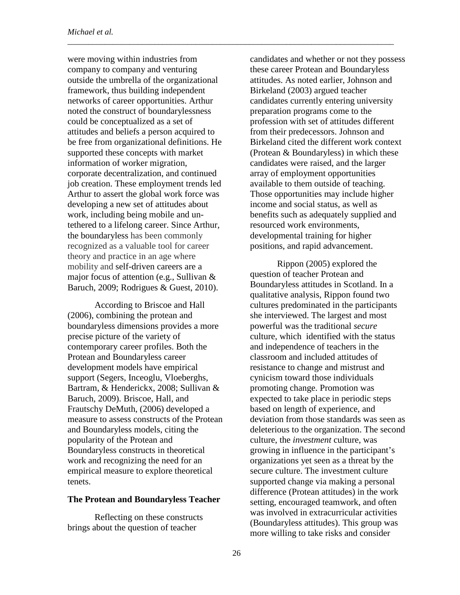were moving within industries from company to company and venturing outside the umbrella of the organizational framework, thus building independent networks of career opportunities. Arthur noted the construct of boundarylessness could be conceptualized as a set of attitudes and beliefs a person acquired to be free from organizational definitions. He supported these concepts with market information of worker migration, corporate decentralization, and continued job creation. These employment trends led Arthur to assert the global work force was developing a new set of attitudes about work, including being mobile and untethered to a lifelong career. Since Arthur, the boundaryless has been commonly recognized as a valuable tool for career theory and practice in an age where mobility and self-driven careers are a major focus of attention (e.g., Sullivan & Baruch, 2009; Rodrigues & Guest, 2010).

According to Briscoe and Hall (2006), combining the protean and boundaryless dimensions provides a more precise picture of the variety of contemporary career profiles. Both the Protean and Boundaryless career development models have empirical support (Segers, Inceoglu, Vloeberghs, Bartram, & Henderickx, 2008; Sullivan & Baruch, 2009). Briscoe, Hall, and Frautschy DeMuth, (2006) developed a measure to assess constructs of the Protean and Boundaryless models, citing the popularity of the Protean and Boundaryless constructs in theoretical work and recognizing the need for an empirical measure to explore theoretical tenets.

#### **The Protean and Boundaryless Teacher**

Reflecting on these constructs brings about the question of teacher

candidates and whether or not they possess these career Protean and Boundaryless attitudes. As noted earlier, Johnson and Birkeland (2003) argued teacher candidates currently entering university preparation programs come to the profession with set of attitudes different from their predecessors. Johnson and Birkeland cited the different work context (Protean & Boundaryless) in which these candidates were raised, and the larger array of employment opportunities available to them outside of teaching. Those opportunities may include higher income and social status, as well as benefits such as adequately supplied and resourced work environments, developmental training for higher positions, and rapid advancement.

Rippon (2005) explored the question of teacher Protean and Boundaryless attitudes in Scotland. In a qualitative analysis, Rippon found two cultures predominated in the participants she interviewed. The largest and most powerful was the traditional *secure* culture, which identified with the status and independence of teachers in the classroom and included attitudes of resistance to change and mistrust and cynicism toward those individuals promoting change. Promotion was expected to take place in periodic steps based on length of experience, and deviation from those standards was seen as deleterious to the organization. The second culture, the *investment* culture, was growing in influence in the participant's organizations yet seen as a threat by the secure culture. The investment culture supported change via making a personal difference (Protean attitudes) in the work setting, encouraged teamwork, and often was involved in extracurricular activities (Boundaryless attitudes). This group was more willing to take risks and consider

\_\_\_\_\_\_\_\_\_\_\_\_\_\_\_\_\_\_\_\_\_\_\_\_\_\_\_\_\_\_\_\_\_\_\_\_\_\_\_\_\_\_\_\_\_\_\_\_\_\_\_\_\_\_\_\_\_\_\_\_\_\_\_\_\_\_\_\_\_\_\_\_\_\_\_\_\_\_\_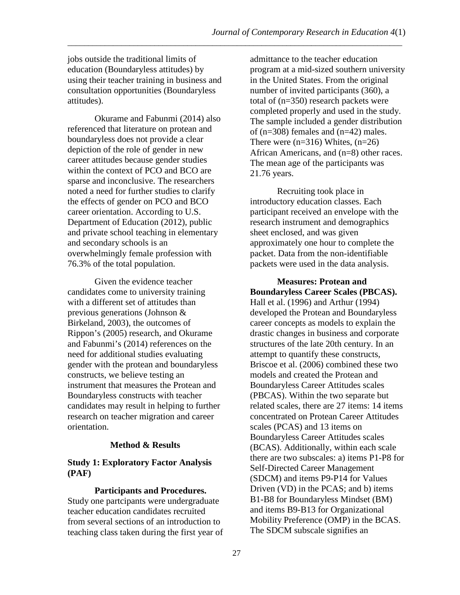jobs outside the traditional limits of education (Boundaryless attitudes) by using their teacher training in business and consultation opportunities (Boundaryless attitudes).

Okurame and Fabunmi (2014) also referenced that literature on protean and boundaryless does not provide a clear depiction of the role of gender in new career attitudes because gender studies within the context of PCO and BCO are sparse and inconclusive. The researchers noted a need for further studies to clarify the effects of gender on PCO and BCO career orientation. According to U.S. Department of Education (2012), public and private school teaching in elementary and secondary schools is an overwhelmingly female profession with 76.3% of the total population.

Given the evidence teacher candidates come to university training with a different set of attitudes than previous generations (Johnson & Birkeland, 2003), the outcomes of Rippon's (2005) research, and Okurame and Fabunmi's (2014) references on the need for additional studies evaluating gender with the protean and boundaryless constructs, we believe testing an instrument that measures the Protean and Boundaryless constructs with teacher candidates may result in helping to further research on teacher migration and career orientation.

## **Method & Results**

## **Study 1: Exploratory Factor Analysis (PAF)**

**Participants and Procedures.**  Study one partcipants were undergraduate teacher education candidates recruited from several sections of an introduction to teaching class taken during the first year of

admittance to the teacher education program at a mid-sized southern university in the United States. From the original number of invited participants (360), a total of (n=350) research packets were completed properly and used in the study. The sample included a gender distribution of (n=308) females and (n=42) males. There were  $(n=316)$  Whites,  $(n=26)$ African Americans, and (n=8) other races. The mean age of the participants was 21.76 years.

Recruiting took place in introductory education classes. Each participant received an envelope with the research instrument and demographics sheet enclosed, and was given approximately one hour to complete the packet. Data from the non-identifiable packets were used in the data analysis.

## **Measures: Protean and Boundaryless Career Scales (PBCAS).**

Hall et al. (1996) and Arthur (1994) developed the Protean and Boundaryless career concepts as models to explain the drastic changes in business and corporate structures of the late 20th century. In an attempt to quantify these constructs, Briscoe et al. (2006) combined these two models and created the Protean and Boundaryless Career Attitudes scales (PBCAS). Within the two separate but related scales, there are 27 items: 14 items concentrated on Protean Career Attitudes scales (PCAS) and 13 items on Boundaryless Career Attitudes scales (BCAS). Additionally, within each scale there are two subscales: a) items P1-P8 for Self-Directed Career Management (SDCM) and items P9-P14 for Values Driven (VD) in the PCAS; and b) items B1-B8 for Boundaryless Mindset (BM) and items B9-B13 for Organizational Mobility Preference (OMP) in the BCAS. The SDCM subscale signifies an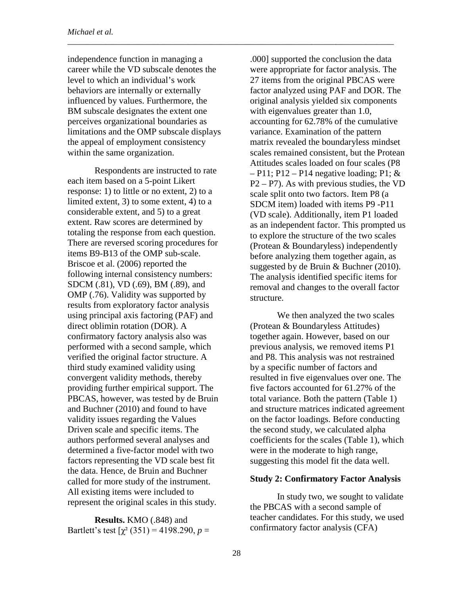independence function in managing a career while the VD subscale denotes the level to which an individual's work behaviors are internally or externally influenced by values. Furthermore, the BM subscale designates the extent one perceives organizational boundaries as limitations and the OMP subscale displays the appeal of employment consistency within the same organization.

\_\_\_\_\_\_\_\_\_\_\_\_\_\_\_\_\_\_\_\_\_\_\_\_\_\_\_\_\_\_\_\_\_\_\_\_\_\_\_\_\_\_\_\_\_\_\_\_\_\_\_\_\_\_\_\_\_\_\_\_\_\_\_\_\_\_\_\_\_\_\_\_\_\_\_\_\_\_\_

Respondents are instructed to rate each item based on a 5-point Likert response: 1) to little or no extent, 2) to a limited extent, 3) to some extent, 4) to a considerable extent, and 5) to a great extent. Raw scores are determined by totaling the response from each question. There are reversed scoring procedures for items B9-B13 of the OMP sub-scale. Briscoe et al. (2006) reported the following internal consistency numbers: SDCM (.81), VD (.69), BM (.89), and OMP (.76). Validity was supported by results from exploratory factor analysis using principal axis factoring (PAF) and direct oblimin rotation (DOR). A confirmatory factory analysis also was performed with a second sample, which verified the original factor structure. A third study examined validity using convergent validity methods, thereby providing further empirical support. The PBCAS, however, was tested by de Bruin and Buchner (2010) and found to have validity issues regarding the Values Driven scale and specific items. The authors performed several analyses and determined a five-factor model with two factors representing the VD scale best fit the data. Hence, de Bruin and Buchner called for more study of the instrument. All existing items were included to represent the original scales in this study.

**Results.** KMO (.848) and Bartlett's test  $[\chi^2 (351) = 4198.290, p =$ 

.000] supported the conclusion the data were appropriate for factor analysis. The 27 items from the original PBCAS were factor analyzed using PAF and DOR. The original analysis yielded six components with eigenvalues greater than 1.0, accounting for 62.78% of the cumulative variance. Examination of the pattern matrix revealed the boundaryless mindset scales remained consistent, but the Protean Attitudes scales loaded on four scales (P8  $-$  P11; P12 – P14 negative loading; P1; & P2 – P7). As with previous studies, the VD scale split onto two factors. Item P8 (a SDCM item) loaded with items P9 -P11 (VD scale). Additionally, item P1 loaded as an independent factor. This prompted us to explore the structure of the two scales (Protean & Boundaryless) independently before analyzing them together again, as suggested by de Bruin & Buchner (2010). The analysis identified specific items for removal and changes to the overall factor structure.

We then analyzed the two scales (Protean & Boundaryless Attitudes) together again. However, based on our previous analysis, we removed items P1 and P8. This analysis was not restrained by a specific number of factors and resulted in five eigenvalues over one. The five factors accounted for 61.27% of the total variance. Both the pattern (Table 1) and structure matrices indicated agreement on the factor loadings. Before conducting the second study, we calculated alpha coefficients for the scales (Table 1), which were in the moderate to high range, suggesting this model fit the data well.

### **Study 2: Confirmatory Factor Analysis**

In study two, we sought to validate the PBCAS with a second sample of teacher candidates. For this study, we used confirmatory factor analysis (CFA)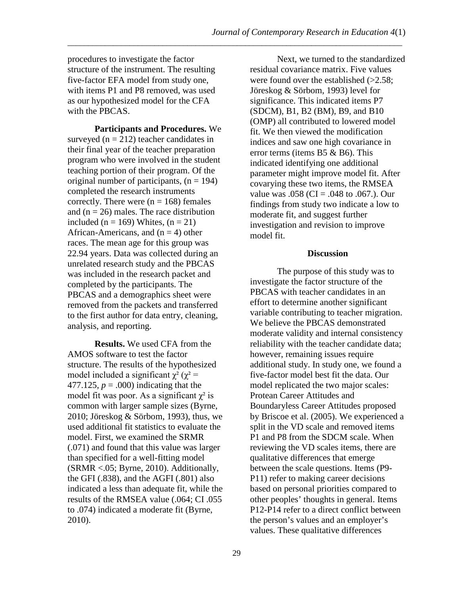procedures to investigate the factor structure of the instrument. The resulting five-factor EFA model from study one, with items P1 and P8 removed, was used as our hypothesized model for the CFA with the PBCAS.

**Participants and Procedures.** We surveyed ( $n = 212$ ) teacher candidates in their final year of the teacher preparation program who were involved in the student teaching portion of their program. Of the original number of participants,  $(n = 194)$ completed the research instruments correctly. There were  $(n = 168)$  females and  $(n = 26)$  males. The race distribution included ( $n = 169$ ) Whites, ( $n = 21$ ) African-Americans, and  $(n = 4)$  other races. The mean age for this group was 22.94 years. Data was collected during an unrelated research study and the PBCAS was included in the research packet and completed by the participants. The PBCAS and a demographics sheet were removed from the packets and transferred to the first author for data entry, cleaning, analysis, and reporting.

**Results.** We used CFA from the AMOS software to test the factor structure. The results of the hypothesized model included a significant  $\chi^2$  ( $\chi^2$  = 477.125,  $p = .000$ ) indicating that the model fit was poor. As a significant  $\chi^2$  is common with larger sample sizes (Byrne, 2010; Jöreskog & Sörbom, 1993), thus, we used additional fit statistics to evaluate the model. First, we examined the SRMR (.071) and found that this value was larger than specified for a well-fitting model (SRMR <.05; Byrne, 2010). Additionally, the GFI  $(.838)$ , and the AGFI  $(.801)$  also indicated a less than adequate fit, while the results of the RMSEA value (.064; CI .055 to .074) indicated a moderate fit (Byrne, 2010).

Next, we turned to the standardized residual covariance matrix. Five values were found over the established  $(>2.58)$ ; Jöreskog & Sörbom, 1993) level for significance. This indicated items P7 (SDCM), B1, B2 (BM), B9, and B10 (OMP) all contributed to lowered model fit. We then viewed the modification indices and saw one high covariance in error terms (items B5 & B6). This indicated identifying one additional parameter might improve model fit. After covarying these two items, the RMSEA value was  $.058$  (CI =  $.048$  to  $.067$ .). Our findings from study two indicate a low to moderate fit, and suggest further investigation and revision to improve model fit.

#### **Discussion**

The purpose of this study was to investigate the factor structure of the PBCAS with teacher candidates in an effort to determine another significant variable contributing to teacher migration. We believe the PBCAS demonstrated moderate validity and internal consistency reliability with the teacher candidate data; however, remaining issues require additional study. In study one, we found a five-factor model best fit the data. Our model replicated the two major scales: Protean Career Attitudes and Boundaryless Career Attitudes proposed by Briscoe et al. (2005). We experienced a split in the VD scale and removed items P1 and P8 from the SDCM scale. When reviewing the VD scales items, there are qualitative differences that emerge between the scale questions. Items (P9- P11) refer to making career decisions based on personal priorities compared to other peoples' thoughts in general. Items P12-P14 refer to a direct conflict between the person's values and an employer's values. These qualitative differences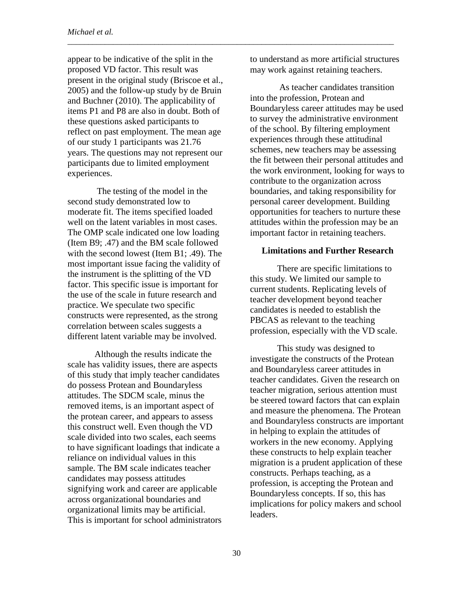appear to be indicative of the split in the proposed VD factor. This result was present in the original study (Briscoe et al., 2005) and the follow-up study by de Bruin and Buchner (2010). The applicability of items P1 and P8 are also in doubt. Both of these questions asked participants to reflect on past employment. The mean age of our study 1 participants was 21.76 years. The questions may not represent our participants due to limited employment experiences.

The testing of the model in the second study demonstrated low to moderate fit. The items specified loaded well on the latent variables in most cases. The OMP scale indicated one low loading (Item B9; .47) and the BM scale followed with the second lowest (Item B1; .49). The most important issue facing the validity of the instrument is the splitting of the VD factor. This specific issue is important for the use of the scale in future research and practice. We speculate two specific constructs were represented, as the strong correlation between scales suggests a different latent variable may be involved.

Although the results indicate the scale has validity issues, there are aspects of this study that imply teacher candidates do possess Protean and Boundaryless attitudes. The SDCM scale, minus the removed items, is an important aspect of the protean career, and appears to assess this construct well. Even though the VD scale divided into two scales, each seems to have significant loadings that indicate a reliance on individual values in this sample. The BM scale indicates teacher candidates may possess attitudes signifying work and career are applicable across organizational boundaries and organizational limits may be artificial. This is important for school administrators to understand as more artificial structures may work against retaining teachers.

\_\_\_\_\_\_\_\_\_\_\_\_\_\_\_\_\_\_\_\_\_\_\_\_\_\_\_\_\_\_\_\_\_\_\_\_\_\_\_\_\_\_\_\_\_\_\_\_\_\_\_\_\_\_\_\_\_\_\_\_\_\_\_\_\_\_\_\_\_\_\_\_\_\_\_\_\_\_\_

As teacher candidates transition into the profession, Protean and Boundaryless career attitudes may be used to survey the administrative environment of the school. By filtering employment experiences through these attitudinal schemes, new teachers may be assessing the fit between their personal attitudes and the work environment, looking for ways to contribute to the organization across boundaries, and taking responsibility for personal career development. Building opportunities for teachers to nurture these attitudes within the profession may be an important factor in retaining teachers.

#### **Limitations and Further Research**

There are specific limitations to this study. We limited our sample to current students. Replicating levels of teacher development beyond teacher candidates is needed to establish the PBCAS as relevant to the teaching profession, especially with the VD scale.

This study was designed to investigate the constructs of the Protean and Boundaryless career attitudes in teacher candidates. Given the research on teacher migration, serious attention must be steered toward factors that can explain and measure the phenomena. The Protean and Boundaryless constructs are important in helping to explain the attitudes of workers in the new economy. Applying these constructs to help explain teacher migration is a prudent application of these constructs. Perhaps teaching, as a profession, is accepting the Protean and Boundaryless concepts. If so, this has implications for policy makers and school leaders.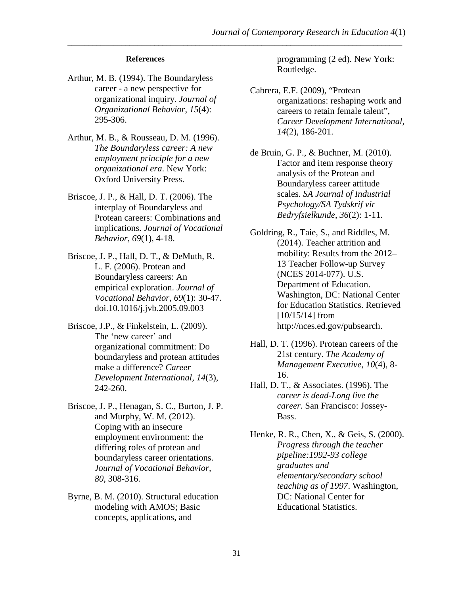#### **References**

- Arthur, M. B. (1994). The Boundaryless career - a new perspective for organizational inquiry. *Journal of Organizational Behavior*, *15*(4): 295-306.
- Arthur, M. B., & Rousseau, D. M. (1996). *The Boundaryless career: A new employment principle for a new organizational era*. New York: Oxford University Press.
- Briscoe, J. P., & Hall, D. T. (2006). The interplay of Boundaryless and Protean careers: Combinations and implications. *Journal of Vocational Behavior*, *69*(1), 4-18.
- Briscoe, J. P., Hall, D. T., & DeMuth, R. L. F. (2006). Protean and Boundaryless careers: An empirical exploration. *Journal of Vocational Behavior*, *69*(1): 30-47. doi.10.1016/j.jvb.2005.09.003
- Briscoe, J.P., & Finkelstein, L. (2009). The 'new career' and organizational commitment: Do boundaryless and protean attitudes make a difference? *Career Development International, 14*(3), 242-260.
- Briscoe, J. P., Henagan, S. C., Burton, J. P. and Murphy, W. M. (2012). Coping with an insecure employment environment: the differing roles of protean and boundaryless career orientations. *Journal of Vocational Behavior, 80*, 308-316.
- Byrne, B. M. (2010). Structural education modeling with AMOS; Basic concepts, applications, and

programming (2 ed). New York: Routledge.

- Cabrera, E.F. (2009), "Protean organizations: reshaping work and careers to retain female talent", *Career Development International, 14*(2), 186-201.
- de Bruin, G. P., & Buchner, M. (2010). Factor and item response theory analysis of the Protean and Boundaryless career attitude scales. *SA Journal of Industrial Psychology/SA Tydskrif vir Bedryfsielkunde*, *36*(2): 1-11.
- Goldring, R., Taie, S., and Riddles, M. (2014). Teacher attrition and mobility: Results from the 2012– 13 Teacher Follow-up Survey (NCES 2014-077). U.S. Department of Education. Washington, DC: National Center for Education Statistics. Retrieved [ $10/15/14$ ] from http://nces.ed.gov/pubsearch.
- Hall, D. T. (1996). Protean careers of the 21st century. *The Academy of Management Executive*, *10*(4), 8- 16.
- Hall, D. T., & Associates. (1996). The *career is dead-Long live the career*. San Francisco: Jossey-Bass.
- Henke, R. R., Chen, X., & Geis, S. (2000). *Progress through the teacher pipeline:1992-93 college graduates and elementary/secondary school teaching as of 1997*. Washington, DC: National Center for Educational Statistics.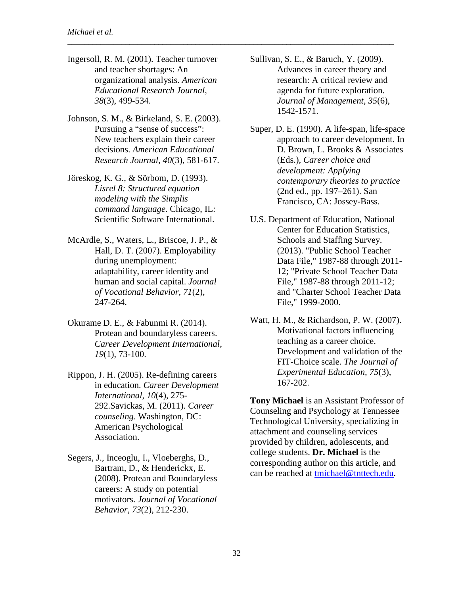Ingersoll, R. M. (2001). Teacher turnover and teacher shortages: An organizational analysis. *American Educational Research Journal, 38*(3), 499-534.

\_\_\_\_\_\_\_\_\_\_\_\_\_\_\_\_\_\_\_\_\_\_\_\_\_\_\_\_\_\_\_\_\_\_\_\_\_\_\_\_\_\_\_\_\_\_\_\_\_\_\_\_\_\_\_\_\_\_\_\_\_\_\_\_\_\_\_\_\_\_\_\_\_\_\_\_\_\_\_

- Johnson, S. M., & Birkeland, S. E. (2003). Pursuing a "sense of success": New teachers explain their career decisions. *American Educational Research Journal*, *40*(3), 581-617.
- Jöreskog, K. G., & Sörbom, D. (1993). *Lisrel 8: Structured equation modeling with the Simplis command language*. Chicago, IL: Scientific Software International.
- McArdle, S., Waters, L., Briscoe, J. P., & Hall, D. T. (2007). Employability during unemployment: adaptability, career identity and human and social capital. *Journal of Vocational Behavior, 71*(2), 247-264.
- Okurame D. E., & Fabunmi R. (2014). Protean and boundaryless careers. *Career Development International, 19*(1), 73-100.
- Rippon, J. H. (2005). Re-defining careers in education. *Career Development International*, *10*(4), 275- 292.Savickas, M. (2011). *Career counseling*. Washington, DC: American Psychological Association.
- Segers, J., Inceoglu, I., Vloeberghs, D., Bartram, D., & Henderickx, E. (2008). Protean and Boundaryless careers: A study on potential motivators. *Journal of Vocational Behavior, 73*(2), 212-230.
- Sullivan, S. E., & Baruch, Y. (2009). Advances in career theory and research: A critical review and agenda for future exploration. *Journal of Management, 35*(6), 1542-1571.
- Super, D. E. (1990). A life-span, life-space approach to career development. In D. Brown, L. Brooks & Associates (Eds.), *Career choice and development: Applying contemporary theories to practice*  (2nd ed., pp. 197–261). San Francisco, CA: Jossey-Bass.
- U.S. Department of Education, National Center for Education Statistics, Schools and Staffing Survey. (2013). "Public School Teacher Data File," 1987-88 through 2011- 12; "Private School Teacher Data File," 1987-88 through 2011-12; and "Charter School Teacher Data File," 1999-2000.
- Watt, H. M., & Richardson, P. W. (2007). Motivational factors influencing teaching as a career choice. Development and validation of the FIT-Choice scale. *The Journal of Experimental Education, 75*(3), 167-202.

**Tony Michael** is an Assistant Professor of Counseling and Psychology at Tennessee Technological University, specializing in attachment and counseling services provided by children, adolescents, and college students. **Dr. Michael** is the corresponding author on this article, and can be reached at [tmichael@tnttech.edu.](mailto:tmichael@tnttech.edu)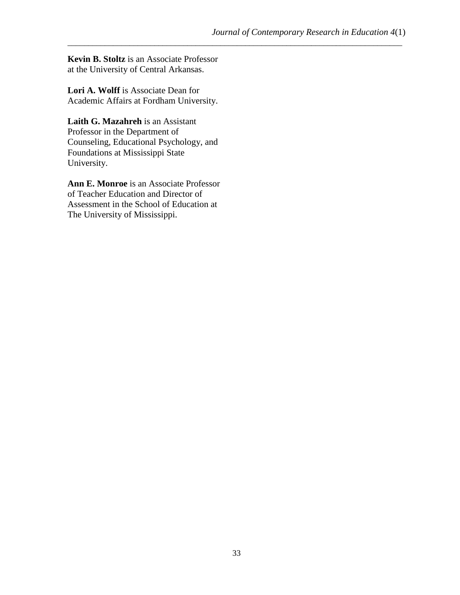**Kevin B. Stoltz** is an Associate Professor at the University of Central Arkansas.

**Lori A. Wolff** is Associate Dean for Academic Affairs at Fordham University.

**Laith G. Mazahreh** is an Assistant Professor in the Department of Counseling, Educational Psychology, and Foundations at Mississippi State University.

**Ann E. Monroe** is an Associate Professor of Teacher Education and Director of Assessment in the School of Education at The University of Mississippi.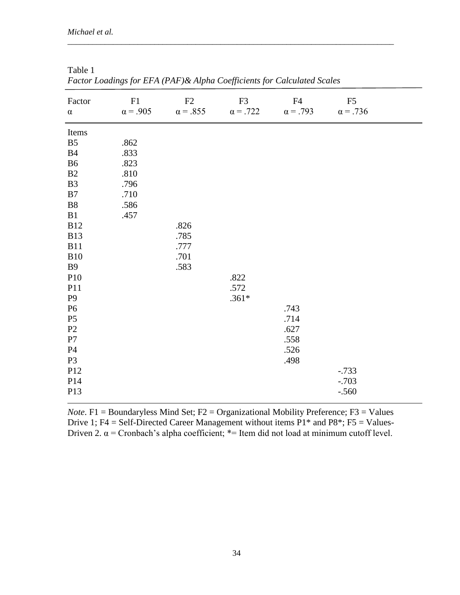| Factor<br>$\alpha$ | ${\rm F}1$<br>$\alpha = .905$ | F2<br>$\alpha = .855$ | F3<br>$\alpha$ = .722 | F4<br>$\alpha$ = .793 | ${\rm F}5$<br>$\alpha$ = .736 |
|--------------------|-------------------------------|-----------------------|-----------------------|-----------------------|-------------------------------|
| Items              |                               |                       |                       |                       |                               |
| B <sub>5</sub>     | .862                          |                       |                       |                       |                               |
| B4                 | .833                          |                       |                       |                       |                               |
| B <sub>6</sub>     | .823                          |                       |                       |                       |                               |
| $\mathbf{B}2$      | .810                          |                       |                       |                       |                               |
| B3                 | .796                          |                       |                       |                       |                               |
| $\mathbf{B}7$      | .710                          |                       |                       |                       |                               |
| ${\bf B8}$         | .586                          |                       |                       |                       |                               |
| B1                 | .457                          |                       |                       |                       |                               |
| <b>B12</b>         |                               | .826                  |                       |                       |                               |
| <b>B13</b>         |                               | .785                  |                       |                       |                               |
| <b>B11</b>         |                               | .777                  |                       |                       |                               |
| <b>B10</b>         |                               | .701                  |                       |                       |                               |
| <b>B9</b>          |                               | .583                  |                       |                       |                               |
| P10                |                               |                       | .822                  |                       |                               |
| P11                |                               |                       | .572                  |                       |                               |
| $\mathbf{P}9$      |                               |                       | $.361*$               |                       |                               |
| <b>P6</b>          |                               |                       |                       | .743                  |                               |
| P <sub>5</sub>     |                               |                       |                       | .714                  |                               |
| $\mathbf{P}2$      |                               |                       |                       | .627                  |                               |
| ${\bf P}7$         |                               |                       |                       | .558                  |                               |
| P <sub>4</sub>     |                               |                       |                       | .526                  |                               |
| P <sub>3</sub>     |                               |                       |                       | .498                  |                               |
| P12                |                               |                       |                       |                       | $-0.733$                      |
| P14                |                               |                       |                       |                       | $-.703$                       |
| P13                |                               |                       |                       |                       | $-.560$                       |
|                    |                               |                       |                       |                       |                               |

| Table 1                                                                  |  |
|--------------------------------------------------------------------------|--|
| Factor Loadings for EFA (PAF) & Alpha Coefficients for Calculated Scales |  |

*Note*. F1 = Boundaryless Mind Set; F2 = Organizational Mobility Preference; F3 = Values Drive 1; F4 = Self-Directed Career Management without items  $P1*$  and  $P8*$ ; F5 = Values-Driven 2.  $\alpha$  = Cronbach's alpha coefficient; \*= Item did not load at minimum cutoff level.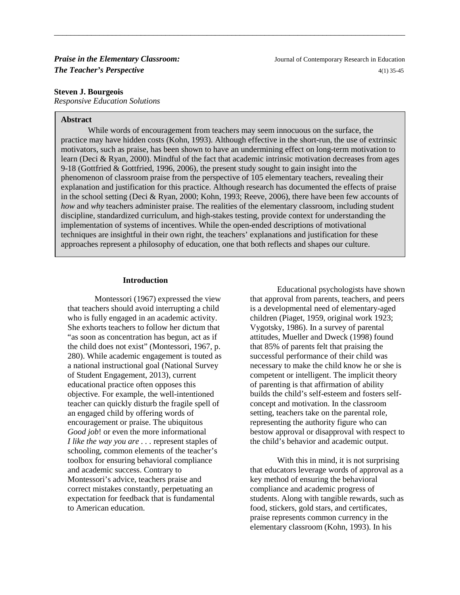#### **Steven J. Bourgeois**

*Responsive Education Solutions*

#### **Abstract**

While words of encouragement from teachers may seem innocuous on the surface, the practice may have hidden costs (Kohn, 1993). Although effective in the short-run, the use of extrinsic motivators, such as praise, has been shown to have an undermining effect on long-term motivation to learn (Deci & Ryan, 2000). Mindful of the fact that academic intrinsic motivation decreases from ages 9-18 (Gottfried & Gottfried, 1996, 2006), the present study sought to gain insight into the phenomenon of classroom praise from the perspective of 105 elementary teachers, revealing their explanation and justification for this practice. Although research has documented the effects of praise in the school setting (Deci & Ryan, 2000; Kohn, 1993; Reeve, 2006), there have been few accounts of *how* and *why* teachers administer praise. The realities of the elementary classroom, including student discipline, standardized curriculum, and high-stakes testing, provide context for understanding the implementation of systems of incentives. While the open-ended descriptions of motivational techniques are insightful in their own right, the teachers' explanations and justification for these approaches represent a philosophy of education, one that both reflects and shapes our culture.

\_\_\_\_\_\_\_\_\_\_\_\_\_\_\_\_\_\_\_\_\_\_\_\_\_\_\_\_\_\_\_\_\_\_\_\_\_\_\_\_\_\_\_\_\_\_\_\_\_\_\_\_\_\_\_\_\_\_\_\_\_\_\_\_\_\_\_\_\_\_\_\_\_\_\_\_\_\_\_\_\_\_\_\_\_

#### **Introduction**

Montessori (1967) expressed the view that teachers should avoid interrupting a child who is fully engaged in an academic activity. She exhorts teachers to follow her dictum that "as soon as concentration has begun, act as if the child does not exist" (Montessori, 1967, p. 280). While academic engagement is touted as a national instructional goal (National Survey of Student Engagement, 2013), current educational practice often opposes this objective. For example, the well-intentioned teacher can quickly disturb the fragile spell of an engaged child by offering words of encouragement or praise. The ubiquitous *Good job*! or even the more informational *I like the way you are . . .* represent staples of schooling, common elements of the teacher's toolbox for ensuring behavioral compliance and academic success. Contrary to Montessori's advice, teachers praise and correct mistakes constantly, perpetuating an expectation for feedback that is fundamental to American education.

Educational psychologists have shown that approval from parents, teachers, and peers is a developmental need of elementary-aged children (Piaget, 1959, original work 1923; Vygotsky, 1986). In a survey of parental attitudes, Mueller and Dweck (1998) found that 85% of parents felt that praising the successful performance of their child was necessary to make the child know he or she is competent or intelligent. The implicit theory of parenting is that affirmation of ability builds the child's self-esteem and fosters selfconcept and motivation. In the classroom setting, teachers take on the parental role, representing the authority figure who can bestow approval or disapproval with respect to the child's behavior and academic output.

With this in mind, it is not surprising that educators leverage words of approval as a key method of ensuring the behavioral compliance and academic progress of students. Along with tangible rewards, such as food, stickers, gold stars, and certificates, praise represents common currency in the elementary classroom (Kohn, 1993). In his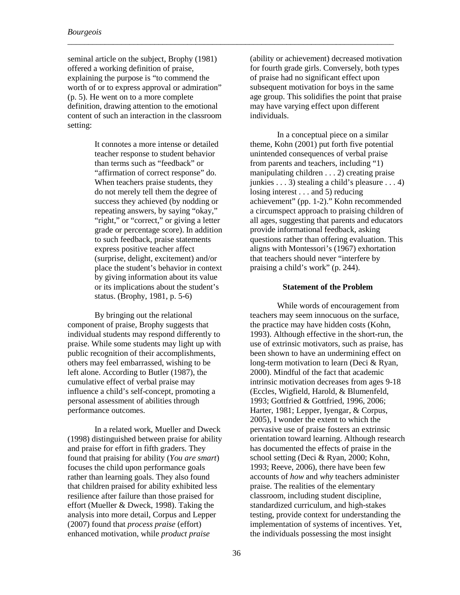seminal article on the subject, Brophy (1981) offered a working definition of praise, explaining the purpose is "to commend the worth of or to express approval or admiration" (p. 5). He went on to a more complete definition, drawing attention to the emotional content of such an interaction in the classroom setting:

\_\_\_\_\_\_\_\_\_\_\_\_\_\_\_\_\_\_\_\_\_\_\_\_\_\_\_\_\_\_\_\_\_\_\_\_\_\_\_\_\_\_\_\_\_\_\_\_\_\_\_\_\_\_\_\_\_\_\_\_\_\_\_\_\_\_\_\_\_\_\_\_\_\_\_\_\_\_\_

It connotes a more intense or detailed teacher response to student behavior than terms such as "feedback" or "affirmation of correct response" do. When teachers praise students, they do not merely tell them the degree of success they achieved (by nodding or repeating answers, by saying "okay," "right," or "correct," or giving a letter grade or percentage score). In addition to such feedback, praise statements express positive teacher affect (surprise, delight, excitement) and/or place the student's behavior in context by giving information about its value or its implications about the student's status. (Brophy, 1981, p. 5-6)

By bringing out the relational component of praise, Brophy suggests that individual students may respond differently to praise. While some students may light up with public recognition of their accomplishments, others may feel embarrassed, wishing to be left alone. According to Butler (1987), the cumulative effect of verbal praise may influence a child's self-concept, promoting a personal assessment of abilities through performance outcomes.

In a related work, Mueller and Dweck (1998) distinguished between praise for ability and praise for effort in fifth graders. They found that praising for ability (*You are smart*) focuses the child upon performance goals rather than learning goals. They also found that children praised for ability exhibited less resilience after failure than those praised for effort (Mueller & Dweck, 1998). Taking the analysis into more detail, Corpus and Lepper (2007) found that *process praise* (effort) enhanced motivation, while *product praise*

(ability or achievement) decreased motivation for fourth grade girls. Conversely, both types of praise had no significant effect upon subsequent motivation for boys in the same age group. This solidifies the point that praise may have varying effect upon different individuals.

In a conceptual piece on a similar theme, Kohn (2001) put forth five potential unintended consequences of verbal praise from parents and teachers, including "1) manipulating children . . . 2) creating praise junkies . . . 3) stealing a child's pleasure . . . 4) losing interest . . . and 5) reducing achievement" (pp. 1-2)." Kohn recommended a circumspect approach to praising children of all ages, suggesting that parents and educators provide informational feedback, asking questions rather than offering evaluation. This aligns with Montessori's (1967) exhortation that teachers should never "interfere by praising a child's work" (p. 244).

#### **Statement of the Problem**

While words of encouragement from teachers may seem innocuous on the surface, the practice may have hidden costs (Kohn, 1993). Although effective in the short-run, the use of extrinsic motivators, such as praise, has been shown to have an undermining effect on long-term motivation to learn (Deci & Ryan, 2000). Mindful of the fact that academic intrinsic motivation decreases from ages 9-18 (Eccles, Wigfield, Harold, & Blumenfeld, 1993; Gottfried & Gottfried, 1996, 2006; Harter, 1981; Lepper, Iyengar, & Corpus, 2005), I wonder the extent to which the pervasive use of praise fosters an extrinsic orientation toward learning. Although research has documented the effects of praise in the school setting (Deci & Ryan, 2000; Kohn, 1993; Reeve, 2006), there have been few accounts of *how* and *why* teachers administer praise. The realities of the elementary classroom, including student discipline, standardized curriculum, and high-stakes testing, provide context for understanding the implementation of systems of incentives. Yet, the individuals possessing the most insight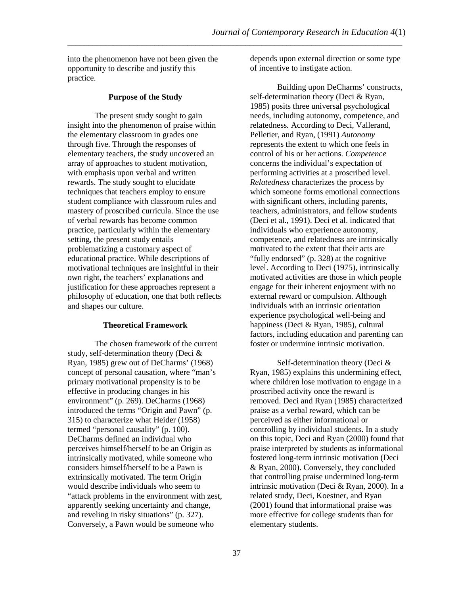into the phenomenon have not been given the opportunity to describe and justify this practice.

#### **Purpose of the Study**

The present study sought to gain insight into the phenomenon of praise within the elementary classroom in grades one through five. Through the responses of elementary teachers, the study uncovered an array of approaches to student motivation, with emphasis upon verbal and written rewards. The study sought to elucidate techniques that teachers employ to ensure student compliance with classroom rules and mastery of proscribed curricula. Since the use of verbal rewards has become common practice, particularly within the elementary setting, the present study entails problematizing a customary aspect of educational practice. While descriptions of motivational techniques are insightful in their own right, the teachers' explanations and justification for these approaches represent a philosophy of education, one that both reflects and shapes our culture.

#### **Theoretical Framework**

The chosen framework of the current study, self-determination theory (Deci & Ryan, 1985) grew out of DeCharms' (1968) concept of personal causation, where "man's primary motivational propensity is to be effective in producing changes in his environment" (p. 269). DeCharms (1968) introduced the terms "Origin and Pawn" (p. 315) to characterize what Heider (1958) termed "personal causality" (p. 100). DeCharms defined an individual who perceives himself/herself to be an Origin as intrinsically motivated, while someone who considers himself/herself to be a Pawn is extrinsically motivated. The term Origin would describe individuals who seem to "attack problems in the environment with zest, apparently seeking uncertainty and change, and reveling in risky situations" (p. 327). Conversely, a Pawn would be someone who

depends upon external direction or some type of incentive to instigate action.

Building upon DeCharms' constructs, self-determination theory (Deci & Ryan, 1985) posits three universal psychological needs, including autonomy, competence, and relatedness*.* According to Deci, Vallerand, Pelletier, and Ryan, (1991) *Autonomy* represents the extent to which one feels in control of his or her actions. *Competence* concerns the individual's expectation of performing activities at a proscribed level. *Relatedness* characterizes the process by which someone forms emotional connections with significant others, including parents, teachers, administrators, and fellow students (Deci et al., 1991). Deci et al. indicated that individuals who experience autonomy, competence, and relatedness are intrinsically motivated to the extent that their acts are "fully endorsed" (p. 328) at the cognitive level. According to Deci (1975), intrinsically motivated activities are those in which people engage for their inherent enjoyment with no external reward or compulsion. Although individuals with an intrinsic orientation experience psychological well-being and happiness (Deci & Ryan, 1985), cultural factors, including education and parenting can foster or undermine intrinsic motivation.

Self-determination theory (Deci & Ryan, 1985) explains this undermining effect, where children lose motivation to engage in a proscribed activity once the reward is removed. Deci and Ryan (1985) characterized praise as a verbal reward, which can be perceived as either informational or controlling by individual students. In a study on this topic, Deci and Ryan (2000) found that praise interpreted by students as informational fostered long-term intrinsic motivation (Deci & Ryan, 2000). Conversely, they concluded that controlling praise undermined long-term intrinsic motivation (Deci & Ryan, 2000). In a related study, Deci, Koestner, and Ryan (2001) found that informational praise was more effective for college students than for elementary students.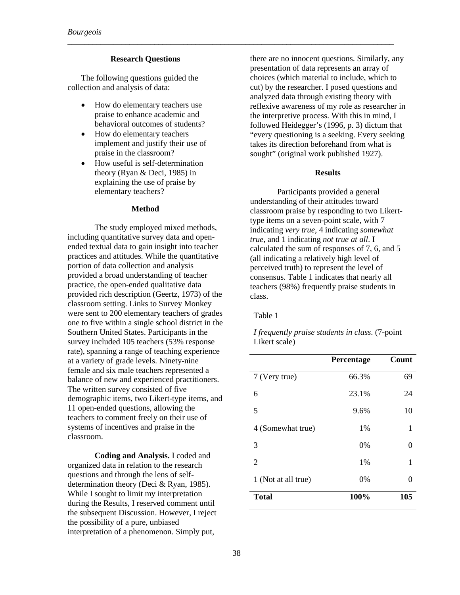#### **Research Questions**

The following questions guided the collection and analysis of data:

- How do elementary teachers use praise to enhance academic and behavioral outcomes of students?
- How do elementary teachers implement and justify their use of praise in the classroom?
- How useful is self-determination theory (Ryan & Deci, 1985) in explaining the use of praise by elementary teachers?

#### **Method**

The study employed mixed methods, including quantitative survey data and openended textual data to gain insight into teacher practices and attitudes. While the quantitative portion of data collection and analysis provided a broad understanding of teacher practice, the open-ended qualitative data provided rich description (Geertz, 1973) of the classroom setting. Links to Survey Monkey were sent to 200 elementary teachers of grades one to five within a single school district in the Southern United States. Participants in the survey included 105 teachers (53% response rate), spanning a range of teaching experience at a variety of grade levels. Ninety-nine female and six male teachers represented a balance of new and experienced practitioners. The written survey consisted of five demographic items, two Likert-type items, and 11 open-ended questions, allowing the teachers to comment freely on their use of systems of incentives and praise in the classroom.

**Coding and Analysis.** I coded and organized data in relation to the research questions and through the lens of selfdetermination theory (Deci & Ryan, 1985). While I sought to limit my interpretation during the Results, I reserved comment until the subsequent Discussion. However, I reject the possibility of a pure, unbiased interpretation of a phenomenon. Simply put,

there are no innocent questions. Similarly, any presentation of data represents an array of choices (which material to include, which to cut) by the researcher. I posed questions and analyzed data through existing theory with reflexive awareness of my role as researcher in the interpretive process. With this in mind, I followed Heidegger's (1996, p. 3) dictum that "every questioning is a seeking. Every seeking takes its direction beforehand from what is sought" (original work published 1927).

#### **Results**

Participants provided a general understanding of their attitudes toward classroom praise by responding to two Likerttype items on a seven-point scale, with 7 indicating *very true*, 4 indicating *somewhat true*, and 1 indicating *not true at all*. I calculated the sum of responses of 7, 6, and 5 (all indicating a relatively high level of perceived truth) to represent the level of consensus. Table 1 indicates that nearly all teachers (98%) frequently praise students in class.

#### Table 1

\_\_\_\_\_\_\_\_\_\_\_\_\_\_\_\_\_\_\_\_\_\_\_\_\_\_\_\_\_\_\_\_\_\_\_\_\_\_\_\_\_\_\_\_\_\_\_\_\_\_\_\_\_\_\_\_\_\_\_\_\_\_\_\_\_\_\_\_\_\_\_\_\_\_\_\_\_\_\_

*I frequently praise students in class*. (7-point Likert scale)

|                     | Percentage | Count |
|---------------------|------------|-------|
| 7 (Very true)       | 66.3%      | 69    |
| 6                   | 23.1%      | 24    |
| 5                   | 9.6%       | 10    |
| 4 (Somewhat true)   | 1%         | 1     |
| 3                   | 0%         | 0     |
| 2                   | 1%         | 1     |
| 1 (Not at all true) | 0%         | 0     |
| <b>Total</b>        | 100%       | 105   |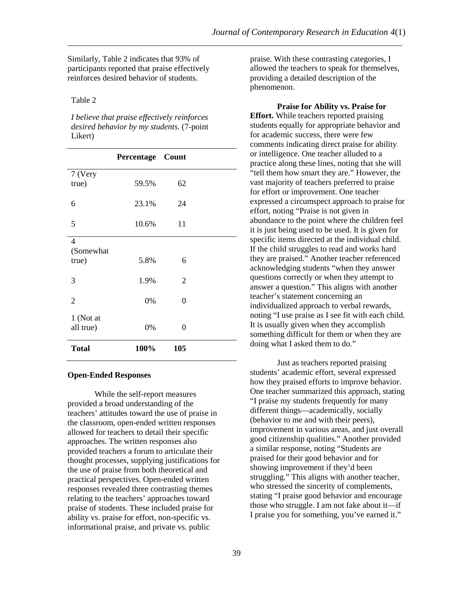Similarly, Table 2 indicates that 93% of participants reported that praise effectively reinforces desired behavior of students.

#### Table 2

*I believe that praise effectively reinforces desired behavior by my students*. (7-point Likert)

|                                      | Percentage Count |     |  |
|--------------------------------------|------------------|-----|--|
| 7 (Very<br>true)                     | 59.5%            | 62  |  |
| 6                                    | 23.1%            | 24  |  |
| 5                                    | 10.6%            | 11  |  |
| $\overline{4}$<br>(Somewhat<br>true) | 5.8%             | 6   |  |
| 3                                    | 1.9%             | 2   |  |
| $\overline{2}$                       | 0%               | 0   |  |
| 1 (Not at<br>all true)               | 0%               | 0   |  |
| <b>Total</b>                         | 100%             | 105 |  |

#### **Open-Ended Responses**

While the self-report measures provided a broad understanding of the teachers' attitudes toward the use of praise in the classroom, open-ended written responses allowed for teachers to detail their specific approaches. The written responses also provided teachers a forum to articulate their thought processes, supplying justifications for the use of praise from both theoretical and practical perspectives. Open-ended written responses revealed three contrasting themes relating to the teachers' approaches toward praise of students. These included praise for ability vs. praise for effort, non-specific vs. informational praise, and private vs. public

praise. With these contrasting categories, I allowed the teachers to speak for themselves, providing a detailed description of the phenomenon.

**Praise for Ability vs. Praise for Effort.** While teachers reported praising students equally for appropriate behavior and for academic success, there were few comments indicating direct praise for ability or intelligence. One teacher alluded to a practice along these lines, noting that she will "tell them how smart they are." However, the vast majority of teachers preferred to praise for effort or improvement. One teacher expressed a circumspect approach to praise for effort, noting "Praise is not given in abundance to the point where the children feel it is just being used to be used. It is given for specific items directed at the individual child. If the child struggles to read and works hard they are praised." Another teacher referenced acknowledging students "when they answer questions correctly or when they attempt to answer a question." This aligns with another teacher's statement concerning an individualized approach to verbal rewards, noting "I use praise as I see fit with each child. It is usually given when they accomplish something difficult for them or when they are doing what I asked them to do."

Just as teachers reported praising students' academic effort, several expressed how they praised efforts to improve behavior. One teacher summarized this approach, stating "I praise my students frequently for many different things—academically, socially (behavior to me and with their peers), improvement in various areas, and just overall good citizenship qualities." Another provided a similar response, noting "Students are praised for their good behavior and for showing improvement if they'd been struggling." This aligns with another teacher, who stressed the sincerity of complements, stating "I praise good behavior and encourage those who struggle. I am not fake about it—if I praise you for something, you've earned it."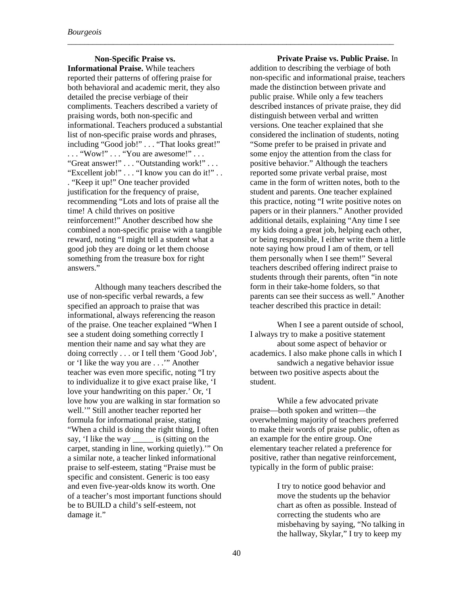**Non-Specific Praise vs. Informational Praise.** While teachers reported their patterns of offering praise for both behavioral and academic merit, they also detailed the precise verbiage of their compliments. Teachers described a variety of praising words, both non-specific and informational. Teachers produced a substantial list of non-specific praise words and phrases, including "Good job!" . . . "That looks great!" ... "Wow!" ... "You are awesome!" ... "Great answer!" . . . "Outstanding work!" . . . "Excellent job!" . . . "I know you can do it!" . . . "Keep it up!" One teacher provided justification for the frequency of praise, recommending "Lots and lots of praise all the time! A child thrives on positive reinforcement!" Another described how she combined a non-specific praise with a tangible reward, noting "I might tell a student what a good job they are doing or let them choose something from the treasure box for right answers."

Although many teachers described the use of non-specific verbal rewards, a few specified an approach to praise that was informational, always referencing the reason of the praise. One teacher explained "When I see a student doing something correctly I mention their name and say what they are doing correctly . . . or I tell them 'Good Job', or 'I like the way you are . . .'" Another teacher was even more specific, noting "I try to individualize it to give exact praise like, 'I love your handwriting on this paper.' Or, 'I love how you are walking in star formation so well.'" Still another teacher reported her formula for informational praise, stating "When a child is doing the right thing, I often say, 'I like the way is (sitting on the carpet, standing in line, working quietly).'" On a similar note, a teacher linked informational praise to self-esteem, stating "Praise must be specific and consistent. Generic is too easy and even five-year-olds know its worth. One of a teacher's most important functions should be to BUILD a child's self-esteem, not damage it."

**Private Praise vs. Public Praise.** In addition to describing the verbiage of both non-specific and informational praise, teachers made the distinction between private and public praise. While only a few teachers described instances of private praise, they did distinguish between verbal and written versions. One teacher explained that she considered the inclination of students, noting "Some prefer to be praised in private and some enjoy the attention from the class for positive behavior." Although the teachers reported some private verbal praise, most came in the form of written notes, both to the student and parents. One teacher explained this practice, noting "I write positive notes on papers or in their planners." Another provided additional details, explaining "Any time I see my kids doing a great job, helping each other, or being responsible, I either write them a little note saying how proud I am of them, or tell them personally when I see them!" Several teachers described offering indirect praise to students through their parents, often "in note form in their take-home folders, so that parents can see their success as well." Another teacher described this practice in detail:

When I see a parent outside of school, I always try to make a positive statement about some aspect of behavior or academics. I also make phone calls in which I sandwich a negative behavior issue between two positive aspects about the student.

While a few advocated private praise—both spoken and written—the overwhelming majority of teachers preferred to make their words of praise public, often as an example for the entire group. One elementary teacher related a preference for positive, rather than negative reinforcement, typically in the form of public praise:

> I try to notice good behavior and move the students up the behavior chart as often as possible. Instead of correcting the students who are misbehaving by saying, "No talking in the hallway, Skylar," I try to keep my

\_\_\_\_\_\_\_\_\_\_\_\_\_\_\_\_\_\_\_\_\_\_\_\_\_\_\_\_\_\_\_\_\_\_\_\_\_\_\_\_\_\_\_\_\_\_\_\_\_\_\_\_\_\_\_\_\_\_\_\_\_\_\_\_\_\_\_\_\_\_\_\_\_\_\_\_\_\_\_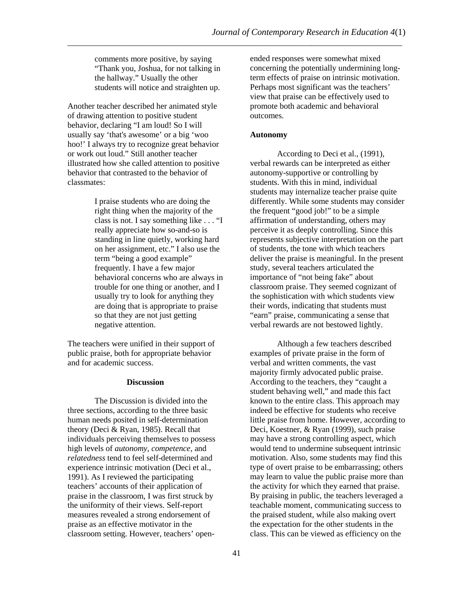comments more positive, by saying "Thank you, Joshua, for not talking in the hallway." Usually the other students will notice and straighten up.

Another teacher described her animated style of drawing attention to positive student behavior, declaring "I am loud! So I will usually say 'that's awesome' or a big 'woo hoo!' I always try to recognize great behavior or work out loud." Still another teacher illustrated how she called attention to positive behavior that contrasted to the behavior of classmates:

> I praise students who are doing the right thing when the majority of the class is not. I say something like . . . "I really appreciate how so-and-so is standing in line quietly, working hard on her assignment, etc." I also use the term "being a good example" frequently. I have a few major behavioral concerns who are always in trouble for one thing or another, and I usually try to look for anything they are doing that is appropriate to praise so that they are not just getting negative attention.

The teachers were unified in their support of public praise, both for appropriate behavior and for academic success.

#### **Discussion**

The Discussion is divided into the three sections, according to the three basic human needs posited in self-determination theory (Deci & Ryan, 1985). Recall that individuals perceiving themselves to possess high levels of *autonomy*, *competence*, and *relatedness* tend to feel self-determined and experience intrinsic motivation (Deci et al., 1991). As I reviewed the participating teachers' accounts of their application of praise in the classroom, I was first struck by the uniformity of their views. Self-report measures revealed a strong endorsement of praise as an effective motivator in the classroom setting. However, teachers' openended responses were somewhat mixed concerning the potentially undermining longterm effects of praise on intrinsic motivation. Perhaps most significant was the teachers' view that praise can be effectively used to promote both academic and behavioral outcomes.

#### **Autonomy**

\_\_\_\_\_\_\_\_\_\_\_\_\_\_\_\_\_\_\_\_\_\_\_\_\_\_\_\_\_\_\_\_\_\_\_\_\_\_\_\_\_\_\_\_\_\_\_\_\_\_\_\_\_\_\_\_\_\_\_\_\_\_\_\_\_\_\_\_\_\_\_\_\_\_\_\_\_\_\_\_\_

According to Deci et al., (1991), verbal rewards can be interpreted as either autonomy-supportive or controlling by students. With this in mind, individual students may internalize teacher praise quite differently. While some students may consider the frequent "good job!" to be a simple affirmation of understanding, others may perceive it as deeply controlling. Since this represents subjective interpretation on the part of students, the tone with which teachers deliver the praise is meaningful. In the present study, several teachers articulated the importance of "not being fake" about classroom praise. They seemed cognizant of the sophistication with which students view their words, indicating that students must "earn" praise, communicating a sense that verbal rewards are not bestowed lightly.

Although a few teachers described examples of private praise in the form of verbal and written comments, the vast majority firmly advocated public praise. According to the teachers, they "caught a student behaving well," and made this fact known to the entire class. This approach may indeed be effective for students who receive little praise from home. However, according to Deci, Koestner, & Ryan (1999), such praise may have a strong controlling aspect, which would tend to undermine subsequent intrinsic motivation. Also, some students may find this type of overt praise to be embarrassing; others may learn to value the public praise more than the activity for which they earned that praise. By praising in public, the teachers leveraged a teachable moment, communicating success to the praised student, while also making overt the expectation for the other students in the class. This can be viewed as efficiency on the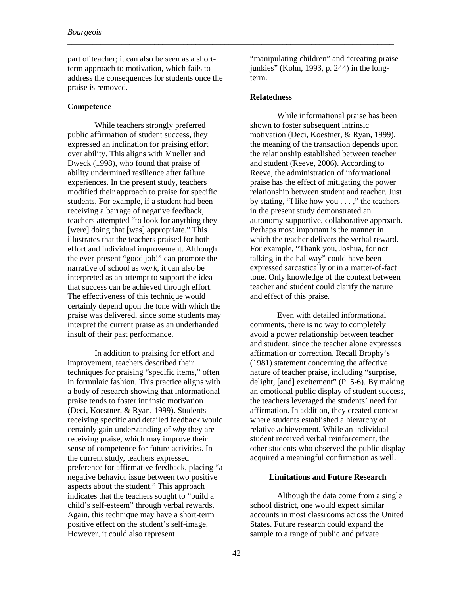part of teacher; it can also be seen as a shortterm approach to motivation, which fails to address the consequences for students once the praise is removed.

#### **Competence**

While teachers strongly preferred public affirmation of student success, they expressed an inclination for praising effort over ability. This aligns with Mueller and Dweck (1998), who found that praise of ability undermined resilience after failure experiences. In the present study, teachers modified their approach to praise for specific students. For example, if a student had been receiving a barrage of negative feedback, teachers attempted "to look for anything they [were] doing that [was] appropriate." This illustrates that the teachers praised for both effort and individual improvement. Although the ever-present "good job!" can promote the narrative of school as *work*, it can also be interpreted as an attempt to support the idea that success can be achieved through effort. The effectiveness of this technique would certainly depend upon the tone with which the praise was delivered, since some students may interpret the current praise as an underhanded insult of their past performance.

In addition to praising for effort and improvement, teachers described their techniques for praising "specific items," often in formulaic fashion. This practice aligns with a body of research showing that informational praise tends to foster intrinsic motivation (Deci, Koestner, & Ryan, 1999). Students receiving specific and detailed feedback would certainly gain understanding of *why* they are receiving praise, which may improve their sense of competence for future activities. In the current study, teachers expressed preference for affirmative feedback, placing "a negative behavior issue between two positive aspects about the student." This approach indicates that the teachers sought to "build a child's self-esteem" through verbal rewards. Again, this technique may have a short-term positive effect on the student's self-image. However, it could also represent

"manipulating children" and "creating praise junkies" (Kohn, 1993, p. 244) in the longterm.

#### **Relatedness**

\_\_\_\_\_\_\_\_\_\_\_\_\_\_\_\_\_\_\_\_\_\_\_\_\_\_\_\_\_\_\_\_\_\_\_\_\_\_\_\_\_\_\_\_\_\_\_\_\_\_\_\_\_\_\_\_\_\_\_\_\_\_\_\_\_\_\_\_\_\_\_\_\_\_\_\_\_\_\_

While informational praise has been shown to foster subsequent intrinsic motivation (Deci, Koestner, & Ryan, 1999), the meaning of the transaction depends upon the relationship established between teacher and student (Reeve, 2006). According to Reeve, the administration of informational praise has the effect of mitigating the power relationship between student and teacher. Just by stating, "I like how you . . . ," the teachers in the present study demonstrated an autonomy-supportive, collaborative approach. Perhaps most important is the manner in which the teacher delivers the verbal reward. For example, "Thank you, Joshua, for not talking in the hallway" could have been expressed sarcastically or in a matter-of-fact tone. Only knowledge of the context between teacher and student could clarify the nature and effect of this praise.

Even with detailed informational comments, there is no way to completely avoid a power relationship between teacher and student, since the teacher alone expresses affirmation or correction. Recall Brophy's (1981) statement concerning the affective nature of teacher praise, including "surprise, delight, [and] excitement" (P. 5-6). By making an emotional public display of student success, the teachers leveraged the students' need for affirmation. In addition, they created context where students established a hierarchy of relative achievement. While an individual student received verbal reinforcement, the other students who observed the public display acquired a meaningful confirmation as well.

#### **Limitations and Future Research**

Although the data come from a single school district, one would expect similar accounts in most classrooms across the United States. Future research could expand the sample to a range of public and private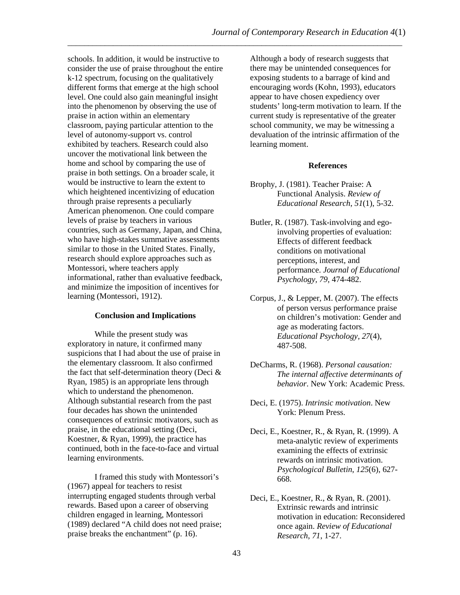schools. In addition, it would be instructive to consider the use of praise throughout the entire k-12 spectrum, focusing on the qualitatively different forms that emerge at the high school level. One could also gain meaningful insight into the phenomenon by observing the use of praise in action within an elementary classroom, paying particular attention to the level of autonomy-support vs. control exhibited by teachers. Research could also uncover the motivational link between the home and school by comparing the use of praise in both settings. On a broader scale, it would be instructive to learn the extent to which heightened incentivizing of education through praise represents a peculiarly American phenomenon. One could compare levels of praise by teachers in various countries, such as Germany, Japan, and China, who have high-stakes summative assessments similar to those in the United States. Finally, research should explore approaches such as Montessori, where teachers apply informational, rather than evaluative feedback, and minimize the imposition of incentives for learning (Montessori, 1912).

#### **Conclusion and Implications**

While the present study was exploratory in nature, it confirmed many suspicions that I had about the use of praise in the elementary classroom. It also confirmed the fact that self-determination theory (Deci & Ryan, 1985) is an appropriate lens through which to understand the phenomenon. Although substantial research from the past four decades has shown the unintended consequences of extrinsic motivators, such as praise, in the educational setting (Deci, Koestner, & Ryan, 1999), the practice has continued, both in the face-to-face and virtual learning environments.

I framed this study with Montessori's (1967) appeal for teachers to resist interrupting engaged students through verbal rewards. Based upon a career of observing children engaged in learning, Montessori (1989) declared "A child does not need praise; praise breaks the enchantment" (p. 16).

Although a body of research suggests that there may be unintended consequences for exposing students to a barrage of kind and encouraging words (Kohn, 1993), educators appear to have chosen expediency over students' long-term motivation to learn. If the current study is representative of the greater school community, we may be witnessing a devaluation of the intrinsic affirmation of the learning moment.

#### **References**

- Brophy, J. (1981). Teacher Praise: A Functional Analysis. *Review of Educational Research*, *51*(1), 5-32.
- Butler, R. (1987). Task-involving and egoinvolving properties of evaluation: Effects of different feedback conditions on motivational perceptions, interest, and performance. *Journal of Educational Psychology, 79*, 474-482.
- Corpus, J., & Lepper, M. (2007). The effects of person versus performance praise on children's motivation: Gender and age as moderating factors. *Educational Psychology, 27*(4), 487-508.
- DeCharms, R. (1968). *Personal causation: The internal affective determinants of behavior*. New York: Academic Press.
- Deci, E. (1975). *Intrinsic motivation*. New York: Plenum Press.
- Deci, E., Koestner, R., & Ryan, R. (1999). A meta-analytic review of experiments examining the effects of extrinsic rewards on intrinsic motivation. *Psychological Bulletin*, *125*(6), 627- 668.
- Deci, E., Koestner, R., & Ryan, R. (2001). Extrinsic rewards and intrinsic motivation in education: Reconsidered once again. *Review of Educational Research*, *71*, 1-27.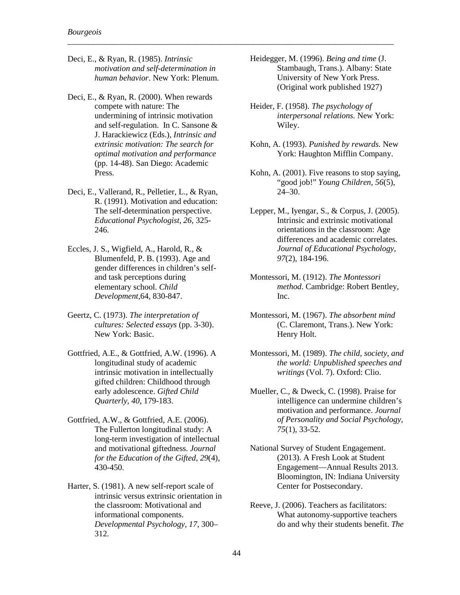Deci, E., & Ryan, R. (1985). *Intrinsic motivation and self-determination in human behavior*. New York: Plenum.

\_\_\_\_\_\_\_\_\_\_\_\_\_\_\_\_\_\_\_\_\_\_\_\_\_\_\_\_\_\_\_\_\_\_\_\_\_\_\_\_\_\_\_\_\_\_\_\_\_\_\_\_\_\_\_\_\_\_\_\_\_\_\_\_\_\_\_\_\_\_\_\_\_\_\_\_\_\_\_

- Deci, E., & Ryan, R. (2000). When rewards compete with nature: The undermining of intrinsic motivation and self-regulation. In C. Sansone & J. Harackiewicz (Eds.), *Intrinsic and extrinsic motivation: The search for optimal motivation and performance* (pp. 14-48). San Diego: Academic Press.
- Deci, E., Vallerand, R., Pelletier, L., & Ryan, R. (1991). Motivation and education: The self-determination perspective. *Educational Psychologist*, *26*, 325- 246.
- Eccles, J. S., Wigfield, A., Harold, R., & Blumenfeld, P. B. (1993). Age and gender differences in children's selfand task perceptions during elementary school. *Child Development,*64, 830-847.
- Geertz, C. (1973). *The interpretation of cultures: Selected essays* (pp. 3-30). New York: Basic.
- Gottfried, A.E., & Gottfried, A.W. (1996). A longitudinal study of academic intrinsic motivation in intellectually gifted children: Childhood through early adolescence. *Gifted Child Quarterly, 40*, 179-183.
- Gottfried, A.W., & Gottfried, A.E. (2006). The Fullerton longitudinal study: A long-term investigation of intellectual and motivational giftedness. *Journal for the Education of the Gifted, 29*(4), 430-450.
- Harter, S. (1981). A new self-report scale of intrinsic versus extrinsic orientation in the classroom: Motivational and informational components. *Developmental Psychology, 17*, 300– 312.
- Heidegger, M. (1996). *Being and time* (J. Stambaugh, Trans.). Albany: State University of New York Press. (Original work published 1927)
- Heider, F. (1958). *The psychology of interpersonal relations.* New York: Wiley.
- Kohn, A. (1993). *Punished by rewards.* New York: Haughton Mifflin Company.
- Kohn, A. (2001). Five reasons to stop saying, "good job!" *Young Children, 56*(5), 24–30.
- Lepper, M., Iyengar, S., & Corpus, J. (2005). Intrinsic and extrinsic motivational orientations in the classroom: Age differences and academic correlates. *Journal of Educational Psychology, 97*(2), 184-196.
- Montessori, M. (1912). *The Montessori method*. Cambridge: Robert Bentley, Inc.
- Montessori, M. (1967). *The absorbent mind* (C. Claremont, Trans.). New York: Henry Holt.
- Montessori, M. (1989). *The child, society, and the world: Unpublished speeches and writings* (Vol. 7). Oxford: Clio.
- Mueller, C., & Dweck, C. (1998). Praise for intelligence can undermine children's motivation and performance. *Journal of Personality and Social Psychology*, *75*(1), 33-52.
- National Survey of Student Engagement. (2013). A Fresh Look at Student Engagement—Annual Results 2013. Bloomington, IN: Indiana University Center for Postsecondary.
- Reeve, J. (2006). Teachers as facilitators: What autonomy-supportive teachers do and why their students benefit. *The*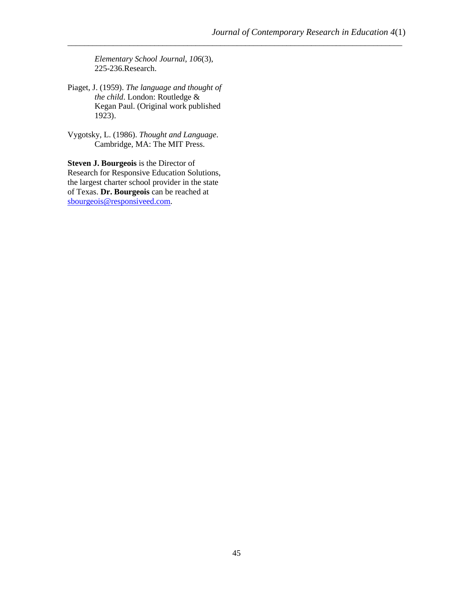*Elementary School Journal*, *106*(3), 225-236.Research.

- Piaget, J. (1959). *The language and thought of the child*. London: Routledge & Kegan Paul. (Original work published 1923).
- Vygotsky, L. (1986). *Thought and Language*. Cambridge, MA: The MIT Press.

**Steven J. Bourgeois** is the Director of Research for Responsive Education Solutions, the largest charter school provider in the state of Texas. **Dr. Bourgeois** can be reached at [sbourgeois@responsiveed.com.](mailto:sbourgeois@responsiveed.com)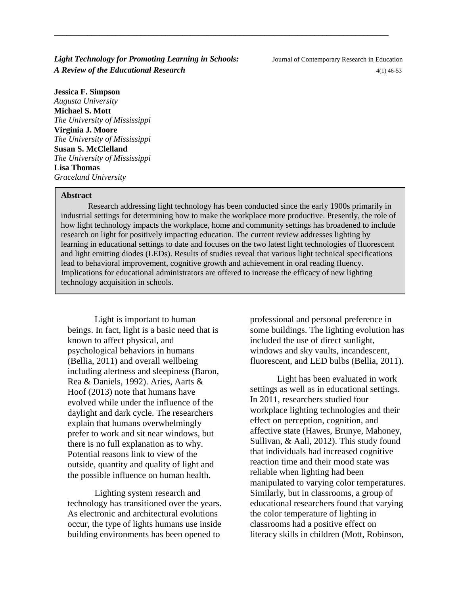**Light Technology for Promoting Learning in Schools:** Journal of Contemporary Research in Education *A Review of the Educational Research*  $4(1)$  46-53

**Jessica F. Simpson** *Augusta University* **Michael S. Mott** *The University of Mississippi* **Virginia J. Moore** *The University of Mississippi* **Susan S. McClelland** *The University of Mississippi* **Lisa Thomas** *Graceland University*

#### **Abstract**

Research addressing light technology has been conducted since the early 1900s primarily in industrial settings for determining how to make the workplace more productive. Presently, the role of how light technology impacts the workplace, home and community settings has broadened to include research on light for positively impacting education. The current review addresses lighting by learning in educational settings to date and focuses on the two latest light technologies of fluorescent and light emitting diodes (LEDs). Results of studies reveal that various light technical specifications lead to behavioral improvement, cognitive growth and achievement in oral reading fluency. Implications for educational administrators are offered to increase the efficacy of new lighting technology acquisition in schools.

\_\_\_\_\_\_\_\_\_\_\_\_\_\_\_\_\_\_\_\_\_\_\_\_\_\_\_\_\_\_\_\_\_\_\_\_\_\_\_\_\_\_\_\_\_\_\_\_\_\_\_\_\_\_\_\_\_\_\_\_\_\_\_\_\_\_\_\_\_\_\_\_\_\_\_\_\_\_\_\_\_

Light is important to human beings. In fact, light is a basic need that is known to affect physical, and psychological behaviors in humans (Bellia, 2011) and overall wellbeing including alertness and sleepiness (Baron, Rea & Daniels, 1992). Aries, Aarts & Hoof (2013) note that humans have evolved while under the influence of the daylight and dark cycle. The researchers explain that humans overwhelmingly prefer to work and sit near windows, but there is no full explanation as to why. Potential reasons link to view of the outside, quantity and quality of light and the possible influence on human health.

Lighting system research and technology has transitioned over the years. As electronic and architectural evolutions occur, the type of lights humans use inside building environments has been opened to

professional and personal preference in some buildings. The lighting evolution has included the use of direct sunlight, windows and sky vaults, incandescent, fluorescent, and LED bulbs (Bellia, 2011).

Light has been evaluated in work settings as well as in educational settings. In 2011, researchers studied four workplace lighting technologies and their effect on perception, cognition, and affective state (Hawes, Brunye, Mahoney, Sullivan, & Aall, 2012). This study found that individuals had increased cognitive reaction time and their mood state was reliable when lighting had been manipulated to varying color temperatures. Similarly, but in classrooms, a group of educational researchers found that varying the color temperature of lighting in classrooms had a positive effect on literacy skills in children (Mott, Robinson,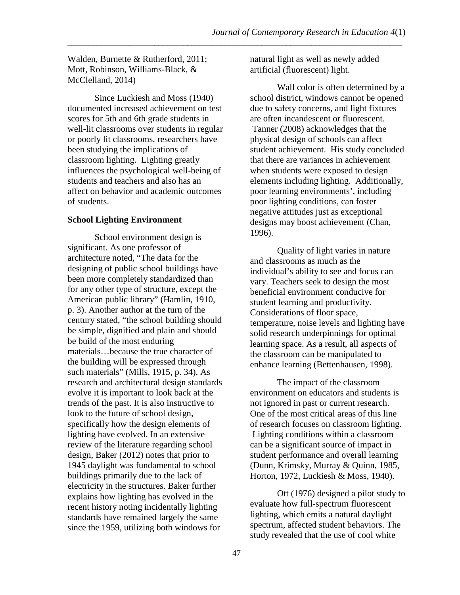Walden, Burnette & Rutherford, 2011; Mott, Robinson, Williams-Black, & McClelland, 2014)

Since Luckiesh and Moss (1940) documented increased achievement on test scores for 5th and 6th grade students in well-lit classrooms over students in regular or poorly lit classrooms, researchers have been studying the implications of classroom lighting. Lighting greatly influences the psychological well-being of students and teachers and also has an affect on behavior and academic outcomes of students.

## **School Lighting Environment**

School environment design is significant. As one professor of architecture noted, "The data for the designing of public school buildings have been more completely standardized than for any other type of structure, except the American public library" (Hamlin, 1910, p. 3). Another author at the turn of the century stated, "the school building should be simple, dignified and plain and should be build of the most enduring materials…because the true character of the building will be expressed through such materials" (Mills, 1915, p. 34). As research and architectural design standards evolve it is important to look back at the trends of the past. It is also instructive to look to the future of school design, specifically how the design elements of lighting have evolved. In an extensive review of the literature regarding school design, Baker (2012) notes that prior to 1945 daylight was fundamental to school buildings primarily due to the lack of electricity in the structures. Baker further explains how lighting has evolved in the recent history noting incidentally lighting standards have remained largely the same since the 1959, utilizing both windows for

natural light as well as newly added artificial (fluorescent) light.

Wall color is often determined by a school district, windows cannot be opened due to safety concerns, and light fixtures are often incandescent or fluorescent. Tanner (2008) acknowledges that the physical design of schools can affect student achievement. His study concluded that there are variances in achievement when students were exposed to design elements including lighting. Additionally, poor learning environments', including poor lighting conditions, can foster negative attitudes just as exceptional designs may boost achievement (Chan, 1996).

Quality of light varies in nature and classrooms as much as the individual's ability to see and focus can vary. Teachers seek to design the most beneficial environment conducive for student learning and productivity. Considerations of floor space, temperature, noise levels and lighting have solid research underpinnings for optimal learning space. As a result, all aspects of the classroom can be manipulated to enhance learning (Bettenhausen, 1998).

The impact of the classroom environment on educators and students is not ignored in past or current research. One of the most critical areas of this line of research focuses on classroom lighting. Lighting conditions within a classroom can be a significant source of impact in student performance and overall learning (Dunn, Krimsky, Murray & Quinn, 1985, Horton, 1972, Luckiesh & Moss, 1940).

Ott (1976) designed a pilot study to evaluate how full-spectrum fluorescent lighting, which emits a natural daylight spectrum, affected student behaviors. The study revealed that the use of cool white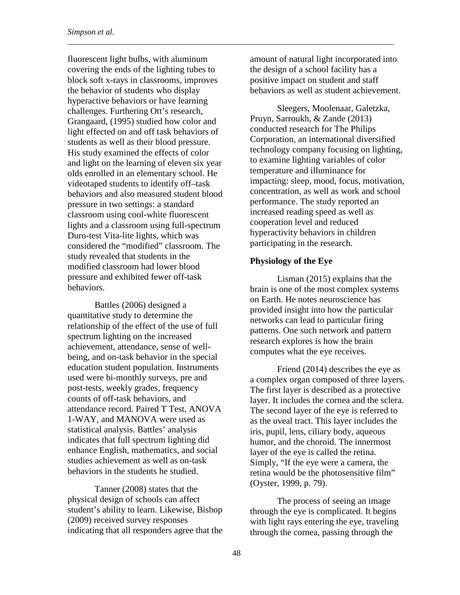fluorescent light bulbs, with aluminum covering the ends of the lighting tubes to block soft x-rays in classrooms, improves the behavior of students who display hyperactive behaviors or have learning challenges. Furthering Ott's research, Grangaard, (1995) studied how color and light effected on and off task behaviors of students as well as their blood pressure. His study examined the effects of color and light on the learning of eleven six year olds enrolled in an elementary school. He videotaped students to identify off–task behaviors and also measured student blood pressure in two settings: a standard classroom using cool-white fluorescent lights and a classroom using full-spectrum Duro-test Vita-lite lights, which was considered the "modified" classroom. The study revealed that students in the modified classroom had lower blood pressure and exhibited fewer off-task behaviors.

Battles (2006) designed a quantitative study to determine the relationship of the effect of the use of full spectrum lighting on the increased achievement, attendance, sense of wellbeing, and on-task behavior in the special education student population. Instruments used were bi-monthly surveys, pre and post-tests, weekly grades, frequency counts of off-task behaviors, and attendance record. Paired T Test, ANOVA 1-WAY, and MANOVA were used as statistical analysis. Battles' analysis indicates that full spectrum lighting did enhance English, mathematics, and social studies achievement as well as on-task behaviors in the students he studied.

Tanner (2008) states that the physical design of schools can affect student's ability to learn. Likewise, Bishop (2009) received survey responses indicating that all responders agree that the amount of natural light incorporated into the design of a school facility has a positive impact on student and staff behaviors as well as student achievement.

\_\_\_\_\_\_\_\_\_\_\_\_\_\_\_\_\_\_\_\_\_\_\_\_\_\_\_\_\_\_\_\_\_\_\_\_\_\_\_\_\_\_\_\_\_\_\_\_\_\_\_\_\_\_\_\_\_\_\_\_\_\_\_\_\_\_\_\_\_\_\_\_\_\_\_\_\_\_\_

Sleegers, Moolenaar, Galetzka, Pruyn, Sarroukh, & Zande (2013) conducted research for The Philips Corporation, an international diversified technology company focusing on lighting, to examine lighting variables of color temperature and illuminance for impacting: sleep, mood, focus, motivation, concentration, as well as work and school performance. The study reported an increased reading speed as well as cooperation level and reduced hyperactivity behaviors in children participating in the research.

#### **Physiology of the Eye**

Lisman (2015) explains that the brain is one of the most complex systems on Earth. He notes neuroscience has provided insight into how the particular networks can lead to particular firing patterns. One such network and pattern research explores is how the brain computes what the eye receives.

Friend (2014) describes the eye as a complex organ composed of three layers. The first layer is described as a protective layer. It includes the cornea and the sclera. The second layer of the eye is referred to as the uveal tract. This layer includes the iris, pupil, lens, ciliary body, aqueous humor, and the choroid. The innermost layer of the eye is called the retina. Simply, "If the eye were a camera, the retina would be the photosensitive film" (Oyster, 1999, p. 79).

The process of seeing an image through the eye is complicated. It begins with light rays entering the eye, traveling through the cornea, passing through the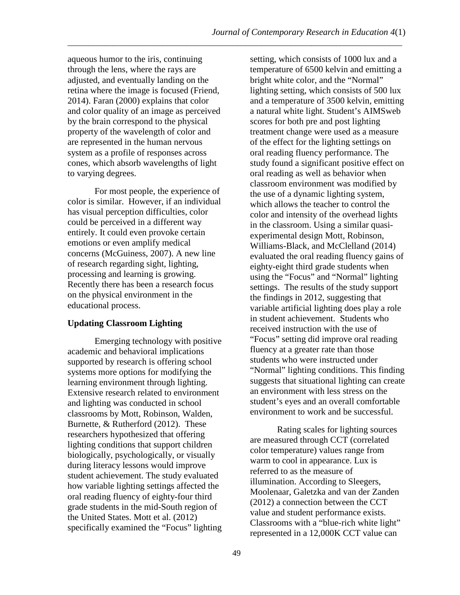aqueous humor to the iris, continuing through the lens, where the rays are adjusted, and eventually landing on the retina where the image is focused (Friend, 2014). Faran (2000) explains that color and color quality of an image as perceived by the brain correspond to the physical property of the wavelength of color and are represented in the human nervous system as a profile of responses across cones, which absorb wavelengths of light to varying degrees.

For most people, the experience of color is similar. However, if an individual has visual perception difficulties, color could be perceived in a different way entirely. It could even provoke certain emotions or even amplify medical concerns (McGuiness, 2007). A new line of research regarding sight, lighting, processing and learning is growing. Recently there has been a research focus on the physical environment in the educational process.

## **Updating Classroom Lighting**

Emerging technology with positive academic and behavioral implications supported by research is offering school systems more options for modifying the learning environment through lighting. Extensive research related to environment and lighting was conducted in school classrooms by Mott, Robinson, Walden, Burnette, & Rutherford (2012). These researchers hypothesized that offering lighting conditions that support children biologically, psychologically, or visually during literacy lessons would improve student achievement. The study evaluated how variable lighting settings affected the oral reading fluency of eighty-four third grade students in the mid-South region of the United States. Mott et al. (2012) specifically examined the "Focus" lighting setting, which consists of 1000 lux and a temperature of 6500 kelvin and emitting a bright white color, and the "Normal" lighting setting, which consists of 500 lux and a temperature of 3500 kelvin, emitting a natural white light. Student's AIMSweb scores for both pre and post lighting treatment change were used as a measure of the effect for the lighting settings on oral reading fluency performance. The study found a significant positive effect on oral reading as well as behavior when classroom environment was modified by the use of a dynamic lighting system, which allows the teacher to control the color and intensity of the overhead lights in the classroom. Using a similar quasiexperimental design Mott, Robinson, Williams-Black, and McClelland (2014) evaluated the oral reading fluency gains of eighty-eight third grade students when using the "Focus" and "Normal" lighting settings. The results of the study support the findings in 2012, suggesting that variable artificial lighting does play a role in student achievement. Students who received instruction with the use of "Focus" setting did improve oral reading fluency at a greater rate than those students who were instructed under "Normal" lighting conditions. This finding suggests that situational lighting can create an environment with less stress on the student's eyes and an overall comfortable environment to work and be successful.

Rating scales for lighting sources are measured through CCT (correlated color temperature) values range from warm to cool in appearance. Lux is referred to as the measure of illumination. According to Sleegers, Moolenaar, Galetzka and van der Zanden (2012) a connection between the CCT value and student performance exists. Classrooms with a "blue-rich white light" represented in a 12,000K CCT value can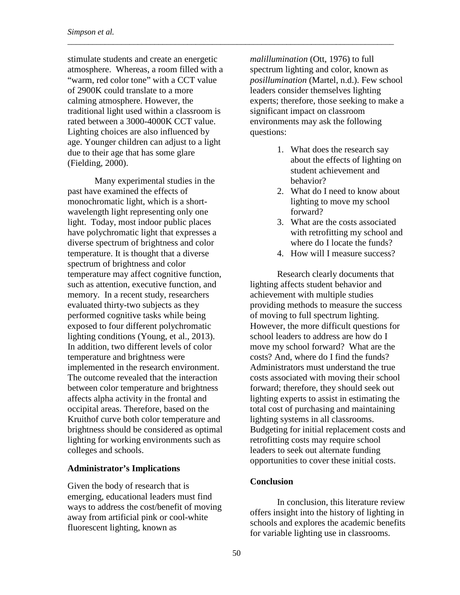stimulate students and create an energetic atmosphere. Whereas, a room filled with a "warm, red color tone" with a CCT value of 2900K could translate to a more calming atmosphere. However, the traditional light used within a classroom is rated between a 3000-4000K CCT value. Lighting choices are also influenced by age. Younger children can adjust to a light due to their age that has some glare (Fielding, 2000).

\_\_\_\_\_\_\_\_\_\_\_\_\_\_\_\_\_\_\_\_\_\_\_\_\_\_\_\_\_\_\_\_\_\_\_\_\_\_\_\_\_\_\_\_\_\_\_\_\_\_\_\_\_\_\_\_\_\_\_\_\_\_\_\_\_\_\_\_\_\_\_\_\_\_\_\_\_\_\_

Many experimental studies in the past have examined the effects of monochromatic light, which is a shortwavelength light representing only one light. Today, most indoor public places have polychromatic light that expresses a diverse spectrum of brightness and color temperature. It is thought that a diverse spectrum of brightness and color temperature may affect cognitive function, such as attention, executive function, and memory. In a recent study, researchers evaluated thirty-two subjects as they performed cognitive tasks while being exposed to four different polychromatic lighting conditions (Young, et al., 2013). In addition, two different levels of color temperature and brightness were implemented in the research environment. The outcome revealed that the interaction between color temperature and brightness affects alpha activity in the frontal and occipital areas. Therefore, based on the Kruithof curve both color temperature and brightness should be considered as optimal lighting for working environments such as colleges and schools.

### **Administrator's Implications**

Given the body of research that is emerging, educational leaders must find ways to address the cost/benefit of moving away from artificial pink or cool-white fluorescent lighting, known as

*malillumination* (Ott, 1976) to full spectrum lighting and color, known as *posillumination* (Martel, n.d.). Few school leaders consider themselves lighting experts; therefore, those seeking to make a significant impact on classroom environments may ask the following questions:

- 1. What does the research say about the effects of lighting on student achievement and behavior?
- 2. What do I need to know about lighting to move my school forward?
- 3. What are the costs associated with retrofitting my school and where do I locate the funds?
- 4. How will I measure success?

Research clearly documents that lighting affects student behavior and achievement with multiple studies providing methods to measure the success of moving to full spectrum lighting. However, the more difficult questions for school leaders to address are how do I move my school forward? What are the costs? And, where do I find the funds? Administrators must understand the true costs associated with moving their school forward; therefore, they should seek out lighting experts to assist in estimating the total cost of purchasing and maintaining lighting systems in all classrooms. Budgeting for initial replacement costs and retrofitting costs may require school leaders to seek out alternate funding opportunities to cover these initial costs.

#### **Conclusion**

In conclusion, this literature review offers insight into the history of lighting in schools and explores the academic benefits for variable lighting use in classrooms.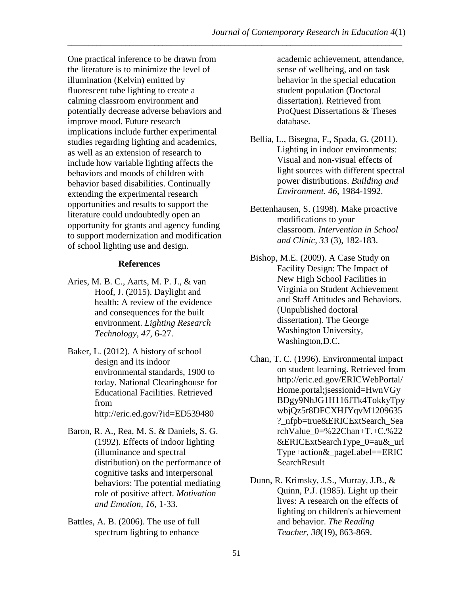One practical inference to be drawn from the literature is to minimize the level of illumination (Kelvin) emitted by fluorescent tube lighting to create a calming classroom environment and potentially decrease adverse behaviors and improve mood. Future research implications include further experimental studies regarding lighting and academics, as well as an extension of research to include how variable lighting affects the behaviors and moods of children with behavior based disabilities. Continually extending the experimental research opportunities and results to support the literature could undoubtedly open an opportunity for grants and agency funding to support modernization and modification of school lighting use and design.

### **References**

- Aries, M. B. C., Aarts, M. P. J., & van Hoof, J. (2015). Daylight and health: A review of the evidence and consequences for the built environment. *Lighting Research Technology*, *47*, 6-27.
- Baker, L. (2012). A history of school design and its indoor environmental standards, 1900 to today. National Clearinghouse for Educational Facilities. Retrieved from <http://eric.ed.gov/?id=ED539480>
- Baron, R. A., Rea, M. S. & Daniels, S. G. (1992). Effects of indoor lighting (illuminance and spectral distribution) on the performance of cognitive tasks and interpersonal behaviors: The potential mediating role of positive affect. *Motivation and Emotion, 16*, 1-33.
- Battles, A. B. (2006). The use of full spectrum lighting to enhance

academic achievement, attendance, sense of wellbeing, and on task behavior in the special education student population (Doctoral dissertation). Retrieved from ProQuest Dissertations & Theses database.

- Bellia, L., Bisegna, F., Spada, G. (2011). Lighting in indoor environments: Visual and non-visual effects of light sources with different spectral power distributions. *Building and Environment. 46*, 1984-1992.
- Bettenhausen, S. (1998). Make proactive modifications to your classroom. *Intervention in School and Clinic, 33* (3), 182-183.
- Bishop, M.E. (2009). A Case Study on Facility Design: The Impact of New High School Facilities in Virginia on Student Achievement and Staff Attitudes and Behaviors. (Unpublished doctoral dissertation). The George Washington University, Washington,D.C.
- Chan, T. C. (1996). Environmental impact on student learning. Retrieved from [http://eric.ed.gov/ERICWebPortal/](http://eric.ed.gov/ERICWebPortal/Home.portal;jsessionid=HwnVGyBDgy9NhJG1H116JTk4TokkyTpywbjQz5r8DFCXHJYqvM1209635?_nfpb=true&ERICExtSearch_SearchValue_0=%22Chan+T.+C.%22&ERICExtSearchType_0=au&_urlType+action&_pageLabel==ERICSearchResult) [Home.portal;jsessionid=HwnVGy](http://eric.ed.gov/ERICWebPortal/Home.portal;jsessionid=HwnVGyBDgy9NhJG1H116JTk4TokkyTpywbjQz5r8DFCXHJYqvM1209635?_nfpb=true&ERICExtSearch_SearchValue_0=%22Chan+T.+C.%22&ERICExtSearchType_0=au&_urlType+action&_pageLabel==ERICSearchResult) [BDgy9NhJG1H116JTk4TokkyTpy](http://eric.ed.gov/ERICWebPortal/Home.portal;jsessionid=HwnVGyBDgy9NhJG1H116JTk4TokkyTpywbjQz5r8DFCXHJYqvM1209635?_nfpb=true&ERICExtSearch_SearchValue_0=%22Chan+T.+C.%22&ERICExtSearchType_0=au&_urlType+action&_pageLabel==ERICSearchResult) [wbjQz5r8DFCXHJYqvM1209635](http://eric.ed.gov/ERICWebPortal/Home.portal;jsessionid=HwnVGyBDgy9NhJG1H116JTk4TokkyTpywbjQz5r8DFCXHJYqvM1209635?_nfpb=true&ERICExtSearch_SearchValue_0=%22Chan+T.+C.%22&ERICExtSearchType_0=au&_urlType+action&_pageLabel==ERICSearchResult) [?\\_nfpb=true&ERICExtSearch\\_Sea](http://eric.ed.gov/ERICWebPortal/Home.portal;jsessionid=HwnVGyBDgy9NhJG1H116JTk4TokkyTpywbjQz5r8DFCXHJYqvM1209635?_nfpb=true&ERICExtSearch_SearchValue_0=%22Chan+T.+C.%22&ERICExtSearchType_0=au&_urlType+action&_pageLabel==ERICSearchResult) rchValue  $0=$ %22Chan+T.+C.%22 [&ERICExtSearchType\\_0=au&\\_url](http://eric.ed.gov/ERICWebPortal/Home.portal;jsessionid=HwnVGyBDgy9NhJG1H116JTk4TokkyTpywbjQz5r8DFCXHJYqvM1209635?_nfpb=true&ERICExtSearch_SearchValue_0=%22Chan+T.+C.%22&ERICExtSearchType_0=au&_urlType+action&_pageLabel==ERICSearchResult) [Type+action&\\_pageLabel==ERIC](http://eric.ed.gov/ERICWebPortal/Home.portal;jsessionid=HwnVGyBDgy9NhJG1H116JTk4TokkyTpywbjQz5r8DFCXHJYqvM1209635?_nfpb=true&ERICExtSearch_SearchValue_0=%22Chan+T.+C.%22&ERICExtSearchType_0=au&_urlType+action&_pageLabel==ERICSearchResult) [SearchResult](http://eric.ed.gov/ERICWebPortal/Home.portal;jsessionid=HwnVGyBDgy9NhJG1H116JTk4TokkyTpywbjQz5r8DFCXHJYqvM1209635?_nfpb=true&ERICExtSearch_SearchValue_0=%22Chan+T.+C.%22&ERICExtSearchType_0=au&_urlType+action&_pageLabel==ERICSearchResult)
- Dunn, R. Krimsky, J.S., Murray, J.B., & Quinn, P.J. (1985). Light up their lives: A research on the effects of lighting on children's achievement and behavior. *The Reading Teacher, 38*(19), 863-869.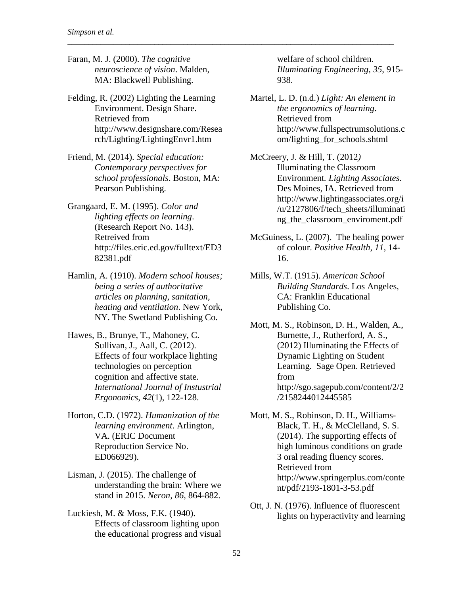Faran, M. J. (2000). *The cognitive neuroscience of vision*. Malden, MA: Blackwell Publishing.

\_\_\_\_\_\_\_\_\_\_\_\_\_\_\_\_\_\_\_\_\_\_\_\_\_\_\_\_\_\_\_\_\_\_\_\_\_\_\_\_\_\_\_\_\_\_\_\_\_\_\_\_\_\_\_\_\_\_\_\_\_\_\_\_\_\_\_\_\_\_\_\_\_\_\_\_\_\_\_

- Felding, R. (2002) Lighting the Learning Environment. Design Share. Retrieved from [http://www.designshare.com/Resea](http://www.designshare.com/Research/Lighting/LightingEnvr1.htm) [rch/Lighting/LightingEnvr1.htm](http://www.designshare.com/Research/Lighting/LightingEnvr1.htm)
- Friend, M. (2014). *Special education: Contemporary perspectives for school professionals*. Boston, MA: Pearson Publishing.
- Grangaard, E. M. (1995). *Color and lighting effects on learning*. (Research Report No. 143). Retreived from [http://files.eric.ed.gov/fulltext/ED3](http://files.eric.ed.gov/fulltext/ED382381.pdf) [82381.pdf](http://files.eric.ed.gov/fulltext/ED382381.pdf)
- Hamlin, A. (1910). *Modern school houses; being a series of authoritative articles on planning, sanitation, heating and ventilation*. New York, NY. The Swetland Publishing Co.
- Hawes, B., Brunye, T., Mahoney, C. Sullivan, J., Aall, C. (2012). Effects of four workplace lighting technologies on perception cognition and affective state. *International Journal of Instustrial Ergonomics*, *42*(1), 122-128.
- Horton, C.D. (1972). *Humanization of the learning environment*. Arlington, VA. (ERIC Document Reproduction Service No. ED066929).
- Lisman, J. (2015). The challenge of understanding the brain: Where we stand in 2015. *Neron, 86*, 864-882.
- Luckiesh, M. & Moss, F.K. (1940). Effects of classroom lighting upon the educational progress and visual

welfare of school children. *Illuminating Engineering*, *35*, 915- 938.

Martel, L. D. (n.d.) *Light: An element in the ergonomics of learning*. Retrieved from http://www.fullspectrumsolutions.c om/lighting\_for\_schools.shtml

McCreery, J. & Hill, T. (2012*)*  Illuminating the Classroom Environment*. Lighting Associates*. Des Moines, IA. Retrieved from [http://www.lightingassociates.org/i](http://www.lightingassociates.org/i/u/2127806/f/tech_sheets/illuminating_the_classroom_enviroment.pdf) [/u/2127806/f/tech\\_sheets/illuminati](http://www.lightingassociates.org/i/u/2127806/f/tech_sheets/illuminating_the_classroom_enviroment.pdf) [ng\\_the\\_classroom\\_enviroment.pdf](http://www.lightingassociates.org/i/u/2127806/f/tech_sheets/illuminating_the_classroom_enviroment.pdf)

- McGuiness, L. (2007). The healing power of colour. *Positive Health, 11*, 14- 16.
- Mills, W.T. (1915). *American School Building Standards*. Los Angeles, CA: Franklin Educational Publishing Co.
- Mott, M. S., Robinson, D. H., Walden, A., Burnette, J., Rutherford, A. S., (2012) Illuminating the Effects of Dynamic Lighting on Student Learning. Sage Open. Retrieved from http://sgo.sagepub.com/content/2/2 /2158244012445585
- Mott, M. S., Robinson, D. H., Williams-Black, T. H., & McClelland, S. S. (2014). The supporting effects of high luminous conditions on grade 3 oral reading fluency scores. Retrieved from http://www.springerplus.com/conte nt/pdf/2193-1801-3-53.pdf
- Ott, J. N. (1976). Influence of fluorescent lights on hyperactivity and learning